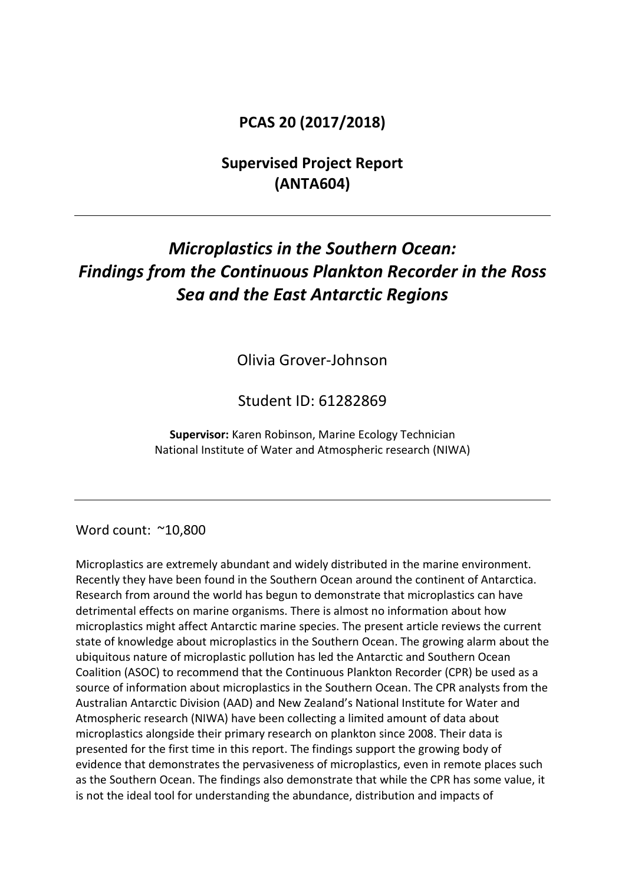## **PCAS 20 (2017/2018)**

# **Supervised Project Report (ANTA604)**

# *Microplastics in the Southern Ocean: Findings from the Continuous Plankton Recorder in the Ross Sea and the East Antarctic Regions*

Olivia Grover-Johnson

Student ID: 61282869

**Supervisor:** Karen Robinson, Marine Ecology Technician National Institute of Water and Atmospheric research (NIWA)

#### Word count: ~10,800

Microplastics are extremely abundant and widely distributed in the marine environment. Recently they have been found in the Southern Ocean around the continent of Antarctica. Research from around the world has begun to demonstrate that microplastics can have detrimental effects on marine organisms. There is almost no information about how microplastics might affect Antarctic marine species. The present article reviews the current state of knowledge about microplastics in the Southern Ocean. The growing alarm about the ubiquitous nature of microplastic pollution has led the Antarctic and Southern Ocean Coalition (ASOC) to recommend that the Continuous Plankton Recorder (CPR) be used as a source of information about microplastics in the Southern Ocean. The CPR analysts from the Australian Antarctic Division (AAD) and New Zealand's National Institute for Water and Atmospheric research (NIWA) have been collecting a limited amount of data about microplastics alongside their primary research on plankton since 2008. Their data is presented for the first time in this report. The findings support the growing body of evidence that demonstrates the pervasiveness of microplastics, even in remote places such as the Southern Ocean. The findings also demonstrate that while the CPR has some value, it is not the ideal tool for understanding the abundance, distribution and impacts of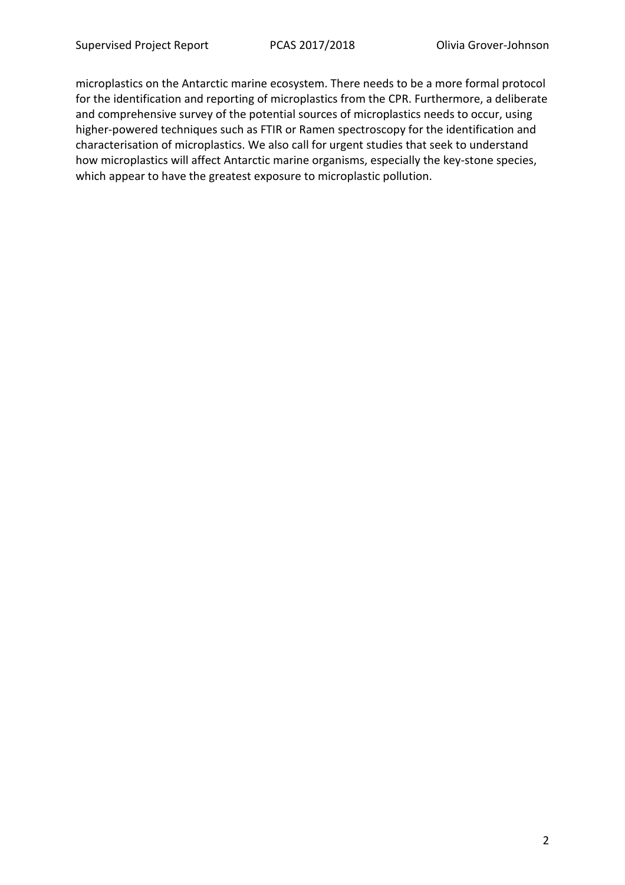microplastics on the Antarctic marine ecosystem. There needs to be a more formal protocol for the identification and reporting of microplastics from the CPR. Furthermore, a deliberate and comprehensive survey of the potential sources of microplastics needs to occur, using higher-powered techniques such as FTIR or Ramen spectroscopy for the identification and characterisation of microplastics. We also call for urgent studies that seek to understand how microplastics will affect Antarctic marine organisms, especially the key-stone species, which appear to have the greatest exposure to microplastic pollution.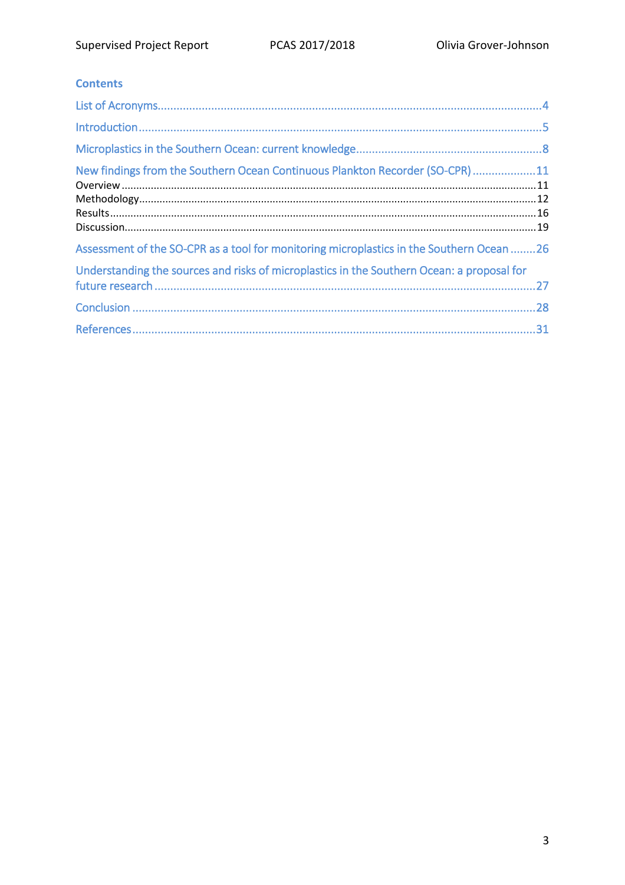### **Contents**

| New findings from the Southern Ocean Continuous Plankton Recorder (SO-CPR) 11              |  |
|--------------------------------------------------------------------------------------------|--|
| Assessment of the SO-CPR as a tool for monitoring microplastics in the Southern Ocean 26   |  |
| Understanding the sources and risks of microplastics in the Southern Ocean: a proposal for |  |
|                                                                                            |  |
|                                                                                            |  |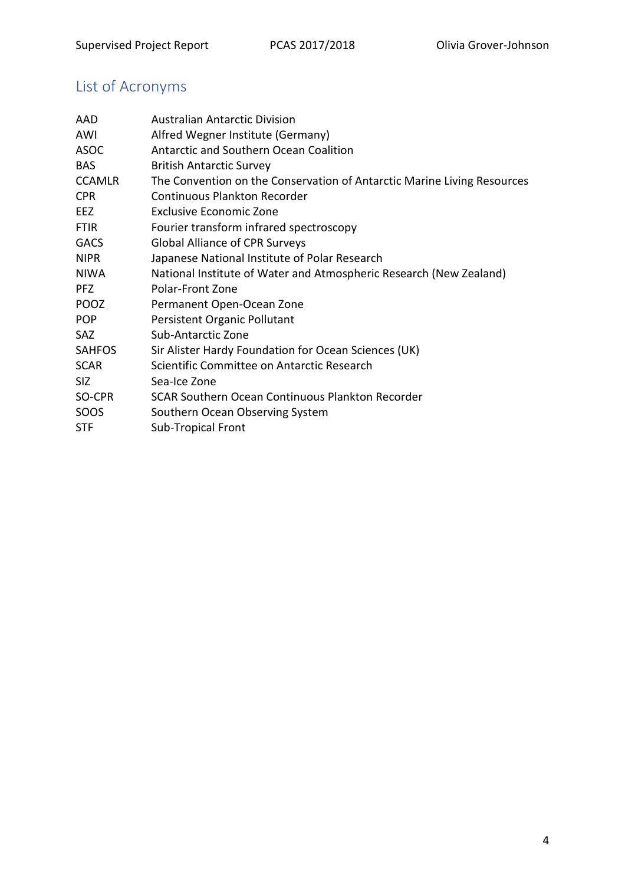# List of Acronyms

| AAD           | <b>Australian Antarctic Division</b>                                    |
|---------------|-------------------------------------------------------------------------|
| AWI           | Alfred Wegner Institute (Germany)                                       |
| <b>ASOC</b>   | <b>Antarctic and Southern Ocean Coalition</b>                           |
| <b>BAS</b>    | <b>British Antarctic Survey</b>                                         |
| <b>CCAMLR</b> | The Convention on the Conservation of Antarctic Marine Living Resources |
| <b>CPR</b>    | <b>Continuous Plankton Recorder</b>                                     |
| EEZ.          | <b>Exclusive Economic Zone</b>                                          |
| <b>FTIR</b>   | Fourier transform infrared spectroscopy                                 |
| <b>GACS</b>   | <b>Global Alliance of CPR Surveys</b>                                   |
| <b>NIPR</b>   | Japanese National Institute of Polar Research                           |
| NIWA          | National Institute of Water and Atmospheric Research (New Zealand)      |
| <b>PFZ</b>    | Polar-Front Zone                                                        |
| <b>POOZ</b>   | Permanent Open-Ocean Zone                                               |
| <b>POP</b>    | Persistent Organic Pollutant                                            |
| <b>SAZ</b>    | Sub-Antarctic Zone                                                      |
| <b>SAHFOS</b> | Sir Alister Hardy Foundation for Ocean Sciences (UK)                    |
| <b>SCAR</b>   | Scientific Committee on Antarctic Research                              |
| <b>SIZ</b>    | Sea-Ice Zone                                                            |
| SO-CPR        | SCAR Southern Ocean Continuous Plankton Recorder                        |
| SOOS          | Southern Ocean Observing System                                         |
| <b>STF</b>    | <b>Sub-Tropical Front</b>                                               |
|               |                                                                         |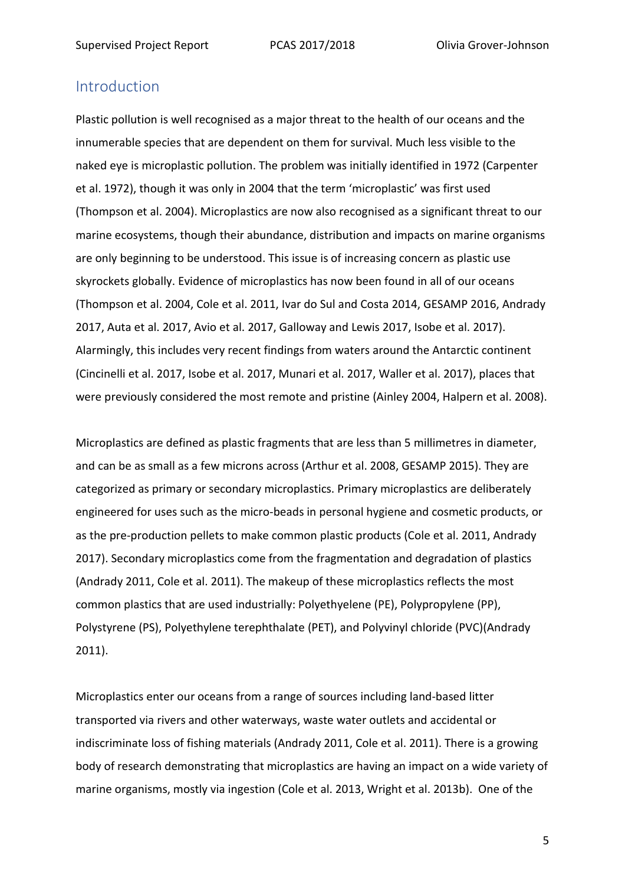## Introduction

Plastic pollution is well recognised as a major threat to the health of our oceans and the innumerable species that are dependent on them for survival. Much less visible to the naked eye is microplastic pollution. The problem was initially identified in 1972 (Carpenter et al. 1972), though it was only in 2004 that the term 'microplastic' was first used (Thompson et al. 2004). Microplastics are now also recognised as a significant threat to our marine ecosystems, though their abundance, distribution and impacts on marine organisms are only beginning to be understood. This issue is of increasing concern as plastic use skyrockets globally. Evidence of microplastics has now been found in all of our oceans (Thompson et al. 2004, Cole et al. 2011, Ivar do Sul and Costa 2014, GESAMP 2016, Andrady 2017, Auta et al. 2017, Avio et al. 2017, Galloway and Lewis 2017, Isobe et al. 2017). Alarmingly, this includes very recent findings from waters around the Antarctic continent (Cincinelli et al. 2017, Isobe et al. 2017, Munari et al. 2017, Waller et al. 2017), places that were previously considered the most remote and pristine (Ainley 2004, Halpern et al. 2008).

Microplastics are defined as plastic fragments that are less than 5 millimetres in diameter, and can be as small as a few microns across (Arthur et al. 2008, GESAMP 2015). They are categorized as primary or secondary microplastics. Primary microplastics are deliberately engineered for uses such as the micro-beads in personal hygiene and cosmetic products, or as the pre-production pellets to make common plastic products (Cole et al. 2011, Andrady 2017). Secondary microplastics come from the fragmentation and degradation of plastics (Andrady 2011, Cole et al. 2011). The makeup of these microplastics reflects the most common plastics that are used industrially: Polyethyelene (PE), Polypropylene (PP), Polystyrene (PS), Polyethylene terephthalate (PET), and Polyvinyl chloride (PVC)(Andrady 2011).

Microplastics enter our oceans from a range of sources including land-based litter transported via rivers and other waterways, waste water outlets and accidental or indiscriminate loss of fishing materials (Andrady 2011, Cole et al. 2011). There is a growing body of research demonstrating that microplastics are having an impact on a wide variety of marine organisms, mostly via ingestion (Cole et al. 2013, Wright et al. 2013b). One of the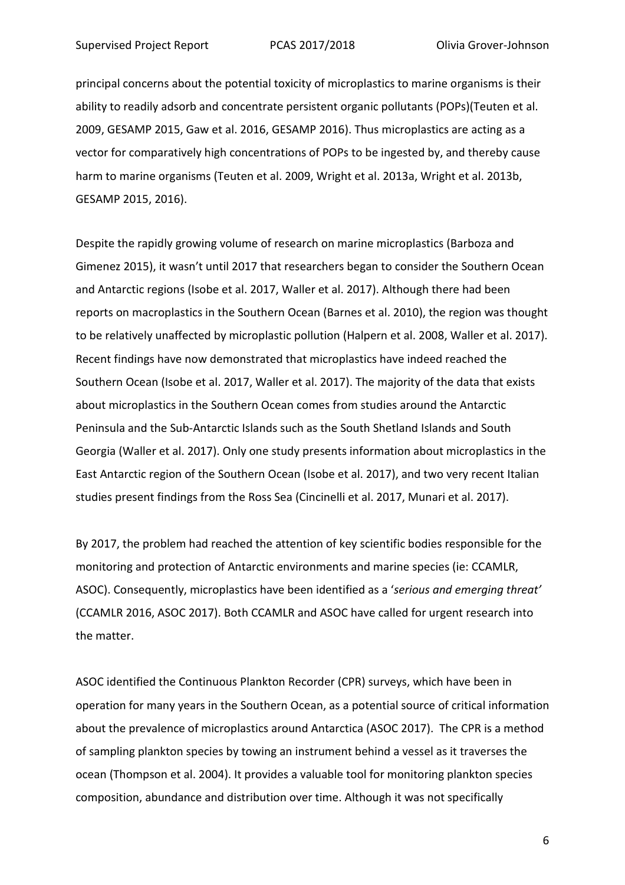principal concerns about the potential toxicity of microplastics to marine organisms is their ability to readily adsorb and concentrate persistent organic pollutants (POPs)(Teuten et al. 2009, GESAMP 2015, Gaw et al. 2016, GESAMP 2016). Thus microplastics are acting as a vector for comparatively high concentrations of POPs to be ingested by, and thereby cause harm to marine organisms (Teuten et al. 2009, Wright et al. 2013a, Wright et al. 2013b, GESAMP 2015, 2016).

Despite the rapidly growing volume of research on marine microplastics (Barboza and Gimenez 2015), it wasn't until 2017 that researchers began to consider the Southern Ocean and Antarctic regions (Isobe et al. 2017, Waller et al. 2017). Although there had been reports on macroplastics in the Southern Ocean (Barnes et al. 2010), the region was thought to be relatively unaffected by microplastic pollution (Halpern et al. 2008, Waller et al. 2017). Recent findings have now demonstrated that microplastics have indeed reached the Southern Ocean (Isobe et al. 2017, Waller et al. 2017). The majority of the data that exists about microplastics in the Southern Ocean comes from studies around the Antarctic Peninsula and the Sub-Antarctic Islands such as the South Shetland Islands and South Georgia (Waller et al. 2017). Only one study presents information about microplastics in the East Antarctic region of the Southern Ocean (Isobe et al. 2017), and two very recent Italian studies present findings from the Ross Sea (Cincinelli et al. 2017, Munari et al. 2017).

By 2017, the problem had reached the attention of key scientific bodies responsible for the monitoring and protection of Antarctic environments and marine species (ie: CCAMLR, ASOC). Consequently, microplastics have been identified as a '*serious and emerging threat'* (CCAMLR 2016, ASOC 2017). Both CCAMLR and ASOC have called for urgent research into the matter.

ASOC identified the Continuous Plankton Recorder (CPR) surveys, which have been in operation for many years in the Southern Ocean, as a potential source of critical information about the prevalence of microplastics around Antarctica (ASOC 2017). The CPR is a method of sampling plankton species by towing an instrument behind a vessel as it traverses the ocean (Thompson et al. 2004). It provides a valuable tool for monitoring plankton species composition, abundance and distribution over time. Although it was not specifically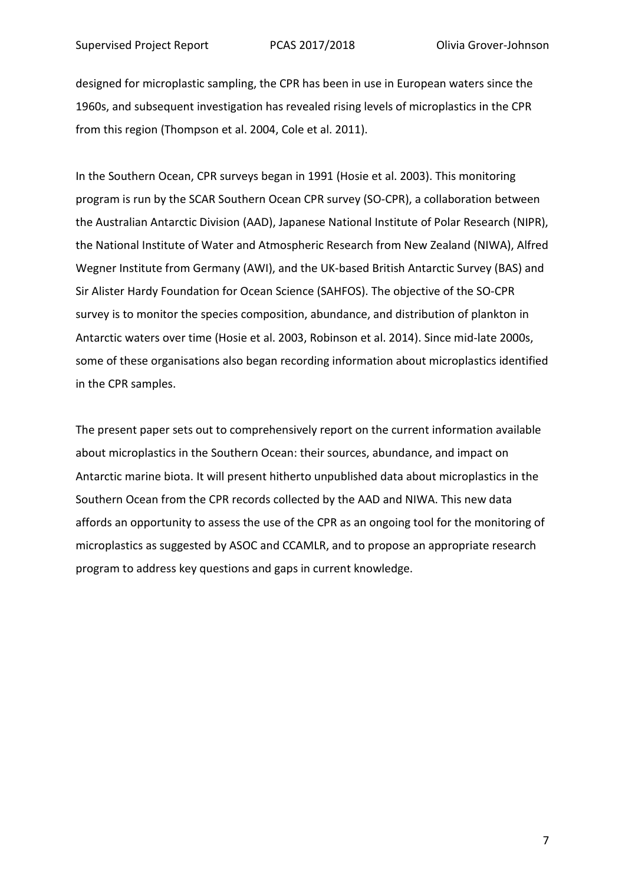designed for microplastic sampling, the CPR has been in use in European waters since the 1960s, and subsequent investigation has revealed rising levels of microplastics in the CPR from this region (Thompson et al. 2004, Cole et al. 2011).

In the Southern Ocean, CPR surveys began in 1991 (Hosie et al. 2003). This monitoring program is run by the SCAR Southern Ocean CPR survey (SO-CPR), a collaboration between the Australian Antarctic Division (AAD), Japanese National Institute of Polar Research (NIPR), the National Institute of Water and Atmospheric Research from New Zealand (NIWA), Alfred Wegner Institute from Germany (AWI), and the UK-based British Antarctic Survey (BAS) and Sir Alister Hardy Foundation for Ocean Science (SAHFOS). The objective of the SO-CPR survey is to monitor the species composition, abundance, and distribution of plankton in Antarctic waters over time (Hosie et al. 2003, Robinson et al. 2014). Since mid-late 2000s, some of these organisations also began recording information about microplastics identified in the CPR samples.

The present paper sets out to comprehensively report on the current information available about microplastics in the Southern Ocean: their sources, abundance, and impact on Antarctic marine biota. It will present hitherto unpublished data about microplastics in the Southern Ocean from the CPR records collected by the AAD and NIWA. This new data affords an opportunity to assess the use of the CPR as an ongoing tool for the monitoring of microplastics as suggested by ASOC and CCAMLR, and to propose an appropriate research program to address key questions and gaps in current knowledge.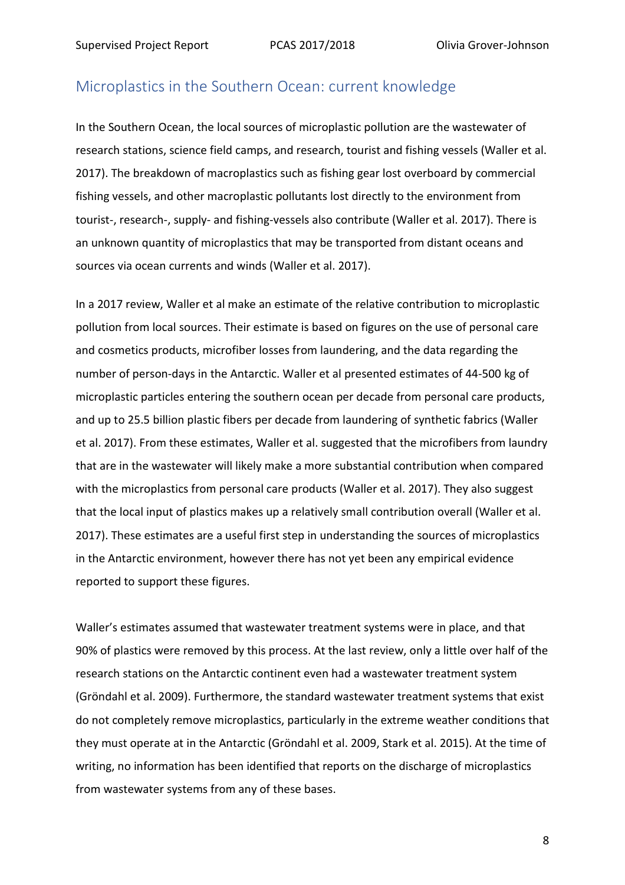### Microplastics in the Southern Ocean: current knowledge

In the Southern Ocean, the local sources of microplastic pollution are the wastewater of research stations, science field camps, and research, tourist and fishing vessels (Waller et al. 2017). The breakdown of macroplastics such as fishing gear lost overboard by commercial fishing vessels, and other macroplastic pollutants lost directly to the environment from tourist-, research-, supply- and fishing-vessels also contribute (Waller et al. 2017). There is an unknown quantity of microplastics that may be transported from distant oceans and sources via ocean currents and winds (Waller et al. 2017).

In a 2017 review, Waller et al make an estimate of the relative contribution to microplastic pollution from local sources. Their estimate is based on figures on the use of personal care and cosmetics products, microfiber losses from laundering, and the data regarding the number of person-days in the Antarctic. Waller et al presented estimates of 44-500 kg of microplastic particles entering the southern ocean per decade from personal care products, and up to 25.5 billion plastic fibers per decade from laundering of synthetic fabrics (Waller et al. 2017). From these estimates, Waller et al. suggested that the microfibers from laundry that are in the wastewater will likely make a more substantial contribution when compared with the microplastics from personal care products (Waller et al. 2017). They also suggest that the local input of plastics makes up a relatively small contribution overall (Waller et al. 2017). These estimates are a useful first step in understanding the sources of microplastics in the Antarctic environment, however there has not yet been any empirical evidence reported to support these figures.

Waller's estimates assumed that wastewater treatment systems were in place, and that 90% of plastics were removed by this process. At the last review, only a little over half of the research stations on the Antarctic continent even had a wastewater treatment system (Gröndahl et al. 2009). Furthermore, the standard wastewater treatment systems that exist do not completely remove microplastics, particularly in the extreme weather conditions that they must operate at in the Antarctic (Gröndahl et al. 2009, Stark et al. 2015). At the time of writing, no information has been identified that reports on the discharge of microplastics from wastewater systems from any of these bases.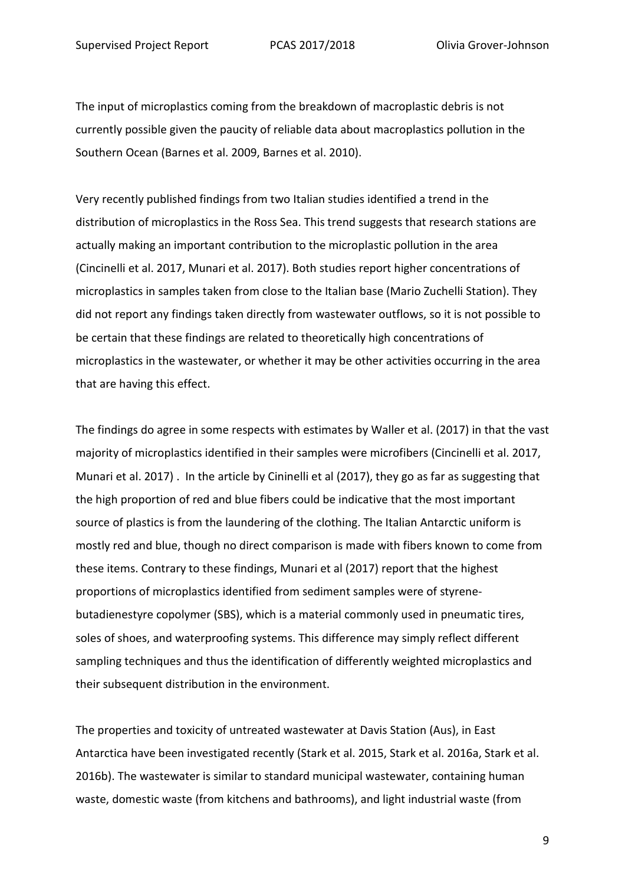The input of microplastics coming from the breakdown of macroplastic debris is not currently possible given the paucity of reliable data about macroplastics pollution in the Southern Ocean (Barnes et al. 2009, Barnes et al. 2010).

Very recently published findings from two Italian studies identified a trend in the distribution of microplastics in the Ross Sea. This trend suggests that research stations are actually making an important contribution to the microplastic pollution in the area (Cincinelli et al. 2017, Munari et al. 2017). Both studies report higher concentrations of microplastics in samples taken from close to the Italian base (Mario Zuchelli Station). They did not report any findings taken directly from wastewater outflows, so it is not possible to be certain that these findings are related to theoretically high concentrations of microplastics in the wastewater, or whether it may be other activities occurring in the area that are having this effect.

The findings do agree in some respects with estimates by Waller et al. (2017) in that the vast majority of microplastics identified in their samples were microfibers (Cincinelli et al. 2017, Munari et al. 2017) . In the article by Cininelli et al (2017), they go as far as suggesting that the high proportion of red and blue fibers could be indicative that the most important source of plastics is from the laundering of the clothing. The Italian Antarctic uniform is mostly red and blue, though no direct comparison is made with fibers known to come from these items. Contrary to these findings, Munari et al (2017) report that the highest proportions of microplastics identified from sediment samples were of styrenebutadienestyre copolymer (SBS), which is a material commonly used in pneumatic tires, soles of shoes, and waterproofing systems. This difference may simply reflect different sampling techniques and thus the identification of differently weighted microplastics and their subsequent distribution in the environment.

The properties and toxicity of untreated wastewater at Davis Station (Aus), in East Antarctica have been investigated recently (Stark et al. 2015, Stark et al. 2016a, Stark et al. 2016b). The wastewater is similar to standard municipal wastewater, containing human waste, domestic waste (from kitchens and bathrooms), and light industrial waste (from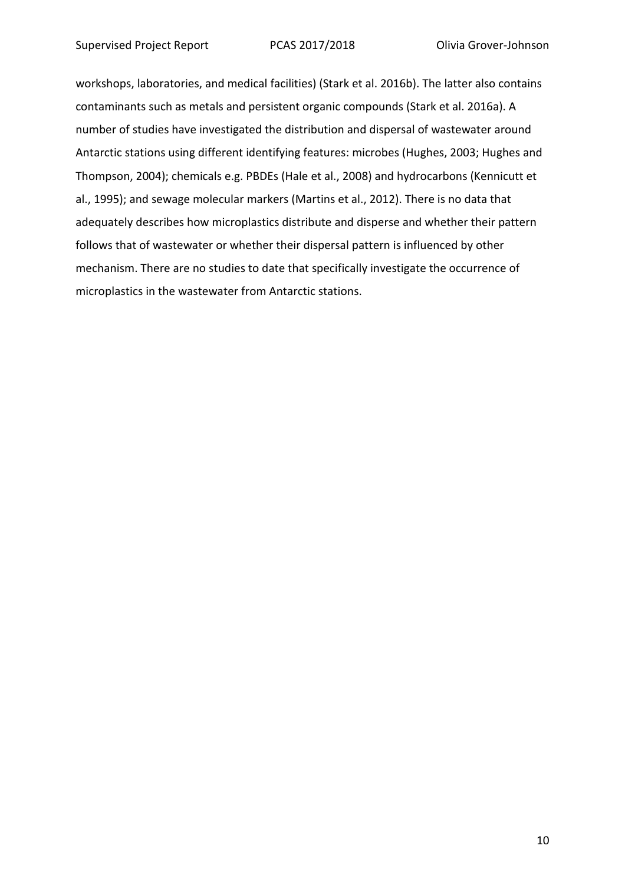workshops, laboratories, and medical facilities) (Stark et al. 2016b). The latter also contains contaminants such as metals and persistent organic compounds (Stark et al. 2016a). A number of studies have investigated the distribution and dispersal of wastewater around Antarctic stations using different identifying features: microbes (Hughes, 2003; Hughes and Thompson, 2004); chemicals e.g. PBDEs (Hale et al., 2008) and hydrocarbons (Kennicutt et al., 1995); and sewage molecular markers (Martins et al., 2012). There is no data that adequately describes how microplastics distribute and disperse and whether their pattern follows that of wastewater or whether their dispersal pattern is influenced by other mechanism. There are no studies to date that specifically investigate the occurrence of microplastics in the wastewater from Antarctic stations.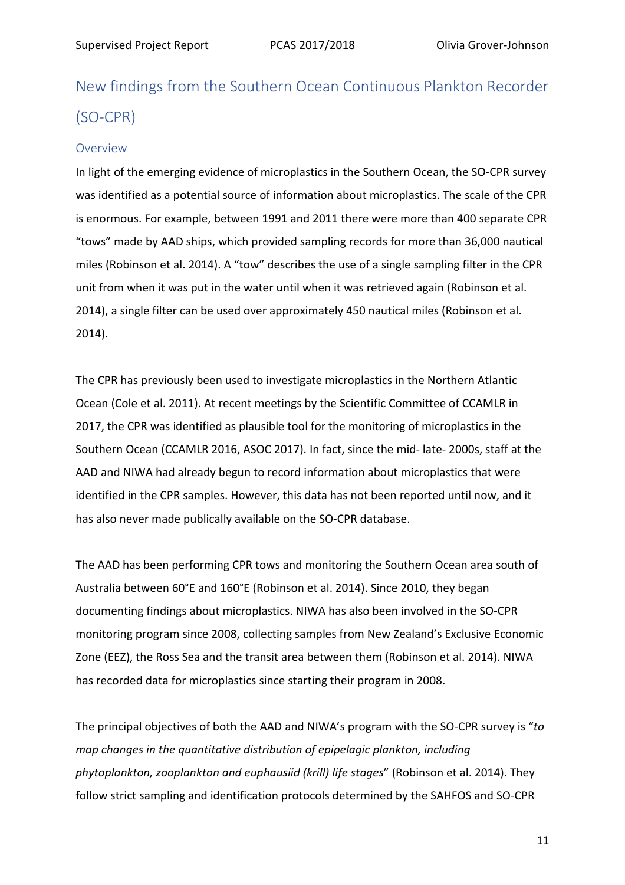# New findings from the Southern Ocean Continuous Plankton Recorder (SO-CPR)

#### Overview

In light of the emerging evidence of microplastics in the Southern Ocean, the SO-CPR survey was identified as a potential source of information about microplastics. The scale of the CPR is enormous. For example, between 1991 and 2011 there were more than 400 separate CPR "tows" made by AAD ships, which provided sampling records for more than 36,000 nautical miles (Robinson et al. 2014). A "tow" describes the use of a single sampling filter in the CPR unit from when it was put in the water until when it was retrieved again (Robinson et al. 2014), a single filter can be used over approximately 450 nautical miles (Robinson et al. 2014).

The CPR has previously been used to investigate microplastics in the Northern Atlantic Ocean (Cole et al. 2011). At recent meetings by the Scientific Committee of CCAMLR in 2017, the CPR was identified as plausible tool for the monitoring of microplastics in the Southern Ocean (CCAMLR 2016, ASOC 2017). In fact, since the mid- late- 2000s, staff at the AAD and NIWA had already begun to record information about microplastics that were identified in the CPR samples. However, this data has not been reported until now, and it has also never made publically available on the SO-CPR database.

The AAD has been performing CPR tows and monitoring the Southern Ocean area south of Australia between 60°E and 160°E (Robinson et al. 2014). Since 2010, they began documenting findings about microplastics. NIWA has also been involved in the SO-CPR monitoring program since 2008, collecting samples from New Zealand's Exclusive Economic Zone (EEZ), the Ross Sea and the transit area between them (Robinson et al. 2014). NIWA has recorded data for microplastics since starting their program in 2008.

The principal objectives of both the AAD and NIWA's program with the SO-CPR survey is "*to map changes in the quantitative distribution of epipelagic plankton, including phytoplankton, zooplankton and euphausiid (krill) life stages*" (Robinson et al. 2014). They follow strict sampling and identification protocols determined by the SAHFOS and SO-CPR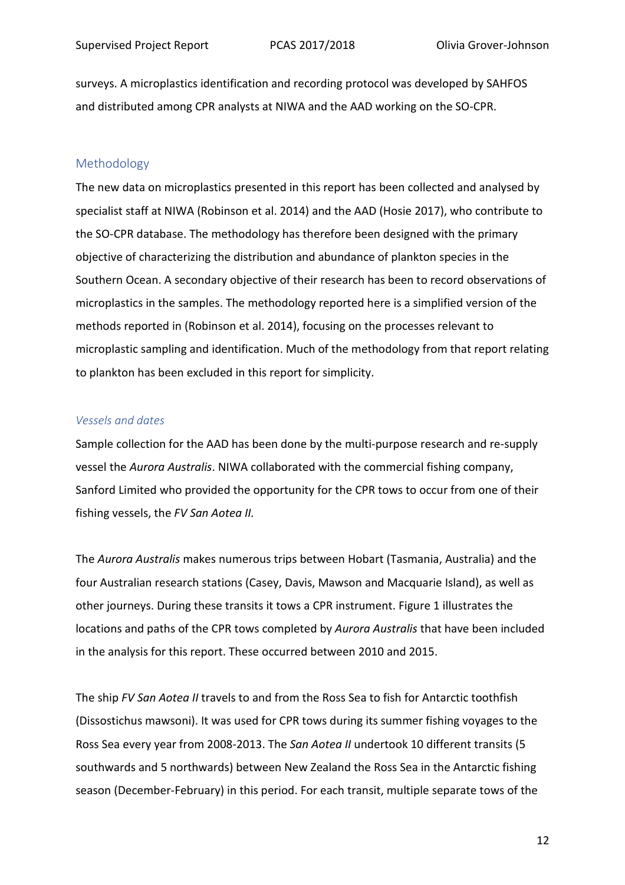surveys. A microplastics identification and recording protocol was developed by SAHFOS and distributed among CPR analysts at NIWA and the AAD working on the SO-CPR.

#### Methodology

The new data on microplastics presented in this report has been collected and analysed by specialist staff at NIWA (Robinson et al. 2014) and the AAD (Hosie 2017), who contribute to the SO-CPR database. The methodology has therefore been designed with the primary objective of characterizing the distribution and abundance of plankton species in the Southern Ocean. A secondary objective of their research has been to record observations of microplastics in the samples. The methodology reported here is a simplified version of the methods reported in (Robinson et al. 2014), focusing on the processes relevant to microplastic sampling and identification. Much of the methodology from that report relating to plankton has been excluded in this report for simplicity.

#### *Vessels and dates*

Sample collection for the AAD has been done by the multi-purpose research and re-supply vessel the *Aurora Australis*. NIWA collaborated with the commercial fishing company, Sanford Limited who provided the opportunity for the CPR tows to occur from one of their fishing vessels, the *FV San Aotea II.*

The *Aurora Australis* makes numerous trips between Hobart (Tasmania, Australia) and the four Australian research stations (Casey, Davis, Mawson and Macquarie Island), as well as other journeys. During these transits it tows a CPR instrument. Figure 1 illustrates the locations and paths of the CPR tows completed by *Aurora Australis* that have been included in the analysis for this report. These occurred between 2010 and 2015.

The ship *FV San Aotea II* travels to and from the Ross Sea to fish for Antarctic toothfish (Dissostichus mawsoni). It was used for CPR tows during its summer fishing voyages to the Ross Sea every year from 2008-2013. The *San Aotea II* undertook 10 different transits (5 southwards and 5 northwards) between New Zealand the Ross Sea in the Antarctic fishing season (December-February) in this period. For each transit, multiple separate tows of the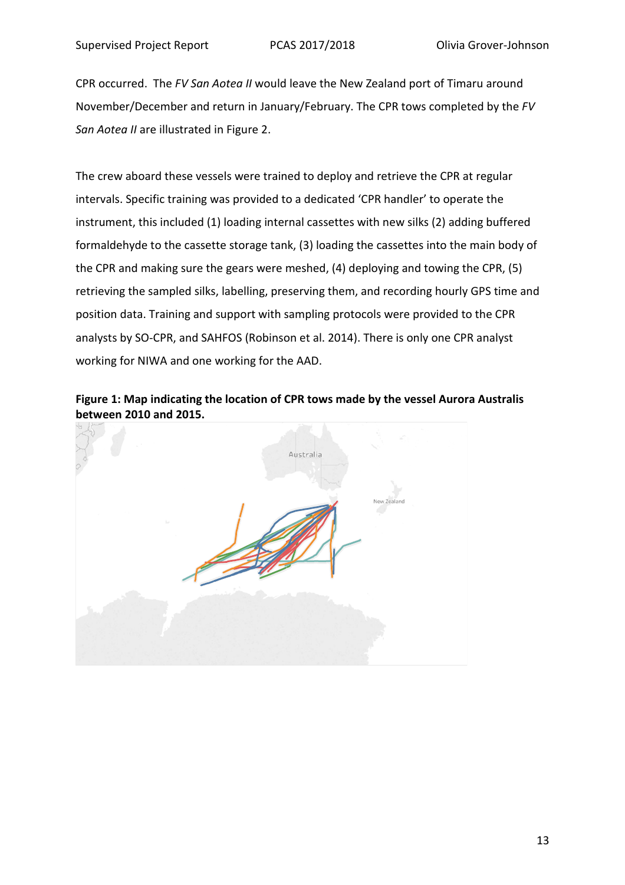CPR occurred. The *FV San Aotea II* would leave the New Zealand port of Timaru around November/December and return in January/February. The CPR tows completed by the *FV San Aotea II* are illustrated in Figure 2.

The crew aboard these vessels were trained to deploy and retrieve the CPR at regular intervals. Specific training was provided to a dedicated 'CPR handler' to operate the instrument, this included (1) loading internal cassettes with new silks (2) adding buffered formaldehyde to the cassette storage tank, (3) loading the cassettes into the main body of the CPR and making sure the gears were meshed, (4) deploying and towing the CPR, (5) retrieving the sampled silks, labelling, preserving them, and recording hourly GPS time and position data. Training and support with sampling protocols were provided to the CPR analysts by SO-CPR, and SAHFOS (Robinson et al. 2014). There is only one CPR analyst working for NIWA and one working for the AAD.

**Figure 1: Map indicating the location of CPR tows made by the vessel Aurora Australis between 2010 and 2015.** 

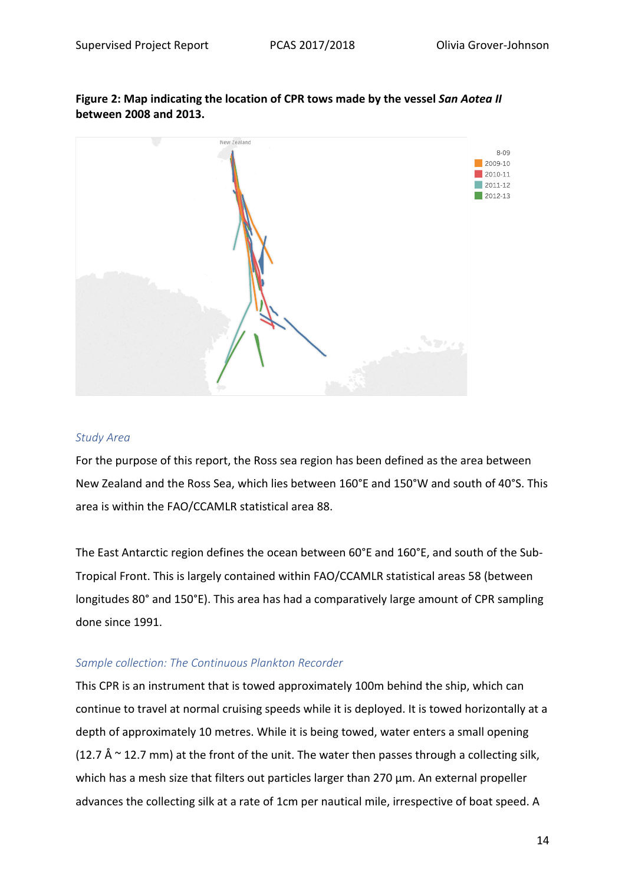

**Figure 2: Map indicating the location of CPR tows made by the vessel** *San Aotea II* **between 2008 and 2013.** 

#### *Study Area*

For the purpose of this report, the Ross sea region has been defined as the area between New Zealand and the Ross Sea, which lies between 160°E and 150°W and south of 40°S. This area is within the FAO/CCAMLR statistical area 88.

The East Antarctic region defines the ocean between 60°E and 160°E, and south of the Sub-Tropical Front. This is largely contained within FAO/CCAMLR statistical areas 58 (between longitudes 80° and 150°E). This area has had a comparatively large amount of CPR sampling done since 1991.

#### *Sample collection: The Continuous Plankton Recorder*

This CPR is an instrument that is towed approximately 100m behind the ship, which can continue to travel at normal cruising speeds while it is deployed. It is towed horizontally at a depth of approximately 10 metres. While it is being towed, water enters a small opening (12.7 Å  $\sim$  12.7 mm) at the front of the unit. The water then passes through a collecting silk, which has a mesh size that filters out particles larger than 270 μm. An external propeller advances the collecting silk at a rate of 1cm per nautical mile, irrespective of boat speed. A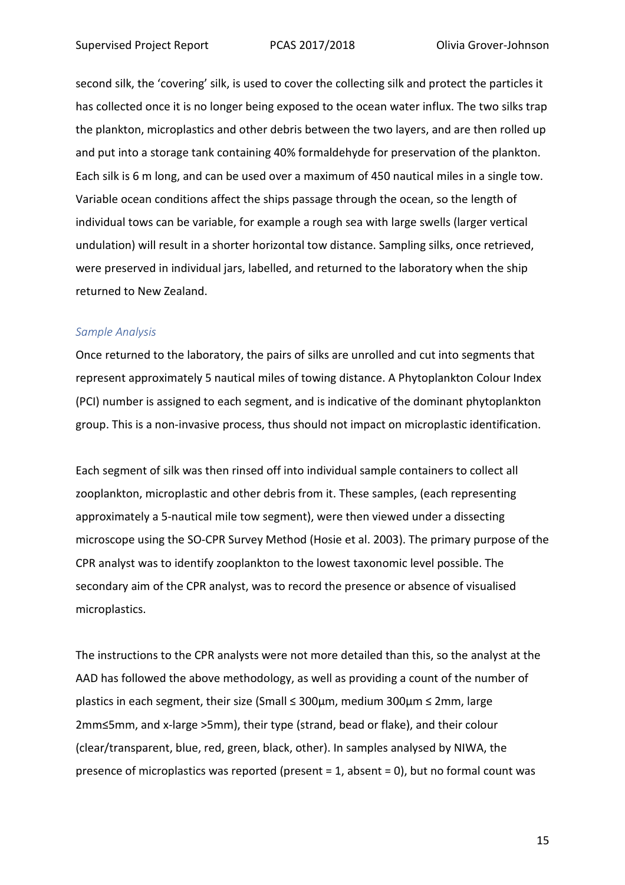second silk, the 'covering' silk, is used to cover the collecting silk and protect the particles it has collected once it is no longer being exposed to the ocean water influx. The two silks trap the plankton, microplastics and other debris between the two layers, and are then rolled up and put into a storage tank containing 40% formaldehyde for preservation of the plankton. Each silk is 6 m long, and can be used over a maximum of 450 nautical miles in a single tow. Variable ocean conditions affect the ships passage through the ocean, so the length of individual tows can be variable, for example a rough sea with large swells (larger vertical undulation) will result in a shorter horizontal tow distance. Sampling silks, once retrieved, were preserved in individual jars, labelled, and returned to the laboratory when the ship returned to New Zealand.

#### *Sample Analysis*

Once returned to the laboratory, the pairs of silks are unrolled and cut into segments that represent approximately 5 nautical miles of towing distance. A Phytoplankton Colour Index (PCI) number is assigned to each segment, and is indicative of the dominant phytoplankton group. This is a non-invasive process, thus should not impact on microplastic identification.

Each segment of silk was then rinsed off into individual sample containers to collect all zooplankton, microplastic and other debris from it. These samples, (each representing approximately a 5-nautical mile tow segment), were then viewed under a dissecting microscope using the SO-CPR Survey Method (Hosie et al. 2003). The primary purpose of the CPR analyst was to identify zooplankton to the lowest taxonomic level possible. The secondary aim of the CPR analyst, was to record the presence or absence of visualised microplastics.

The instructions to the CPR analysts were not more detailed than this, so the analyst at the AAD has followed the above methodology, as well as providing a count of the number of plastics in each segment, their size (Small ≤ 300µm, medium 300µm ≤ 2mm, large 2mm≤5mm, and x-large >5mm), their type (strand, bead or flake), and their colour (clear/transparent, blue, red, green, black, other). In samples analysed by NIWA, the presence of microplastics was reported (present = 1, absent = 0), but no formal count was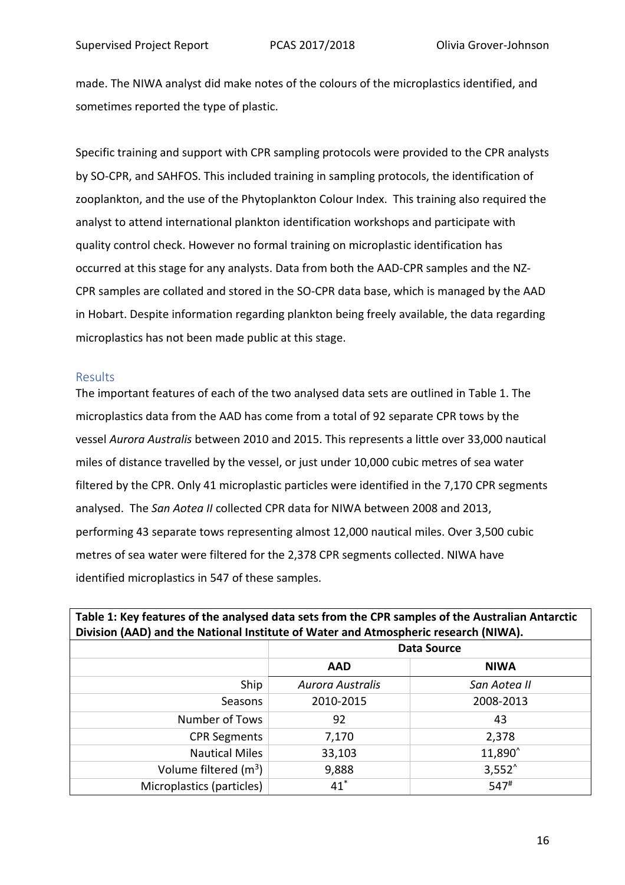made. The NIWA analyst did make notes of the colours of the microplastics identified, and sometimes reported the type of plastic.

Specific training and support with CPR sampling protocols were provided to the CPR analysts by SO-CPR, and SAHFOS. This included training in sampling protocols, the identification of zooplankton, and the use of the Phytoplankton Colour Index. This training also required the analyst to attend international plankton identification workshops and participate with quality control check. However no formal training on microplastic identification has occurred at this stage for any analysts. Data from both the AAD-CPR samples and the NZ-CPR samples are collated and stored in the SO-CPR data base, which is managed by the AAD in Hobart. Despite information regarding plankton being freely available, the data regarding microplastics has not been made public at this stage.

#### Results

The important features of each of the two analysed data sets are outlined in Table 1. The microplastics data from the AAD has come from a total of 92 separate CPR tows by the vessel *Aurora Australis* between 2010 and 2015. This represents a little over 33,000 nautical miles of distance travelled by the vessel, or just under 10,000 cubic metres of sea water filtered by the CPR. Only 41 microplastic particles were identified in the 7,170 CPR segments analysed. The *San Aotea II* collected CPR data for NIWA between 2008 and 2013, performing 43 separate tows representing almost 12,000 nautical miles. Over 3,500 cubic metres of sea water were filtered for the 2,378 CPR segments collected. NIWA have identified microplastics in 547 of these samples.

| Table 1: Key features of the analysed data sets from the CPR samples of the Australian Antarctic |                         |                    |  |  |
|--------------------------------------------------------------------------------------------------|-------------------------|--------------------|--|--|
| Division (AAD) and the National Institute of Water and Atmospheric research (NIWA).              |                         |                    |  |  |
|                                                                                                  | <b>Data Source</b>      |                    |  |  |
|                                                                                                  | <b>AAD</b>              | <b>NIWA</b>        |  |  |
| Ship                                                                                             | <b>Aurora Australis</b> | San Aotea II       |  |  |
| Seasons                                                                                          | 2010-2015               | 2008-2013          |  |  |
| Number of Tows                                                                                   | 92                      | 43                 |  |  |
| <b>CPR Segments</b>                                                                              | 7,170                   | 2,378              |  |  |
| <b>Nautical Miles</b>                                                                            | 33,103                  | 11,890             |  |  |
| Volume filtered $(m^3)$                                                                          | 9,888                   | $3,552^$           |  |  |
| Microplastics (particles)                                                                        | $41^*$                  | $547$ <sup>#</sup> |  |  |

# **Table 1: Key features of the analysed data sets from the CPR samples of the Australian Antarctic**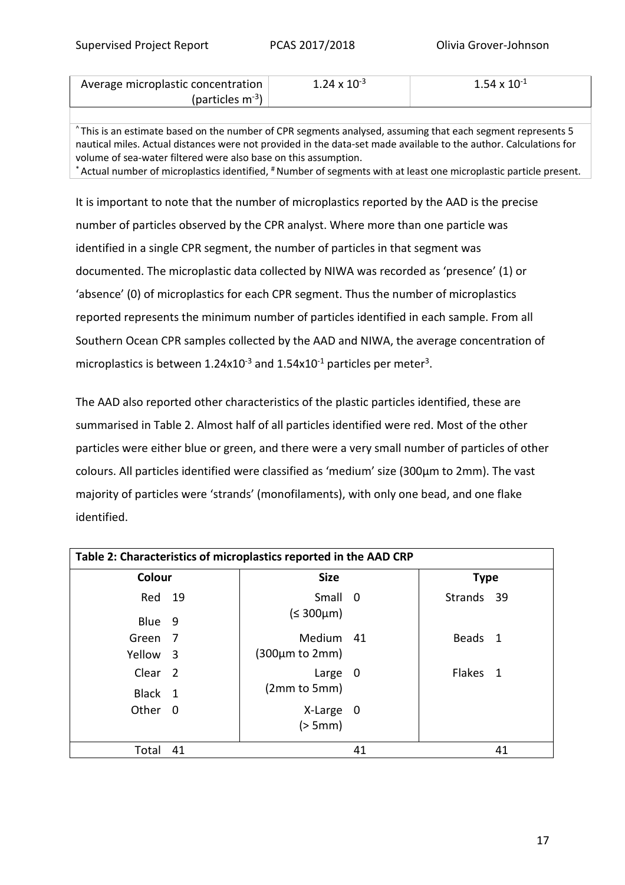| Average microplastic concentration | 24 Y | 54 V |  |
|------------------------------------|------|------|--|
| (particles m <sup>-3</sup> )       |      |      |  |

^ This is an estimate based on the number of CPR segments analysed, assuming that each segment represents 5 nautical miles. Actual distances were not provided in the data-set made available to the author. Calculations for volume of sea-water filtered were also base on this assumption. \* Actual number of microplastics identified, # Number of segments with at least one microplastic particle present.

It is important to note that the number of microplastics reported by the AAD is the precise number of particles observed by the CPR analyst. Where more than one particle was identified in a single CPR segment, the number of particles in that segment was documented. The microplastic data collected by NIWA was recorded as 'presence' (1) or 'absence' (0) of microplastics for each CPR segment. Thus the number of microplastics reported represents the minimum number of particles identified in each sample. From all Southern Ocean CPR samples collected by the AAD and NIWA, the average concentration of microplastics is between  $1.24x10^{-3}$  and  $1.54x10^{-1}$  particles per meter<sup>3</sup>.

The AAD also reported other characteristics of the plastic particles identified, these are summarised in Table 2. Almost half of all particles identified were red. Most of the other particles were either blue or green, and there were a very small number of particles of other colours. All particles identified were classified as 'medium' size (300µm to 2mm). The vast majority of particles were 'strands' (monofilaments), with only one bead, and one flake identified.

| Table 2: Characteristics of microplastics reported in the AAD CRP |    |                                       |    |             |  |
|-------------------------------------------------------------------|----|---------------------------------------|----|-------------|--|
| Colour                                                            |    | <b>Size</b>                           |    | <b>Type</b> |  |
| Red 19                                                            |    | Small 0                               |    | Strands 39  |  |
| Blue 9                                                            |    | $(5.300 \mu m)$                       |    |             |  |
| Green 7                                                           |    | Medium 41                             |    | Beads 1     |  |
| Yellow 3                                                          |    | $(300 \mu m \text{ to } 2 \text{mm})$ |    |             |  |
| Clear <sub>2</sub>                                                |    | Large 0                               |    | Flakes 1    |  |
| Black 1                                                           |    | (2mm to 5mm)                          |    |             |  |
| Other 0                                                           |    | X-Large 0                             |    |             |  |
|                                                                   |    | (> 5mm)                               |    |             |  |
| Total                                                             | 41 |                                       | 41 | 41          |  |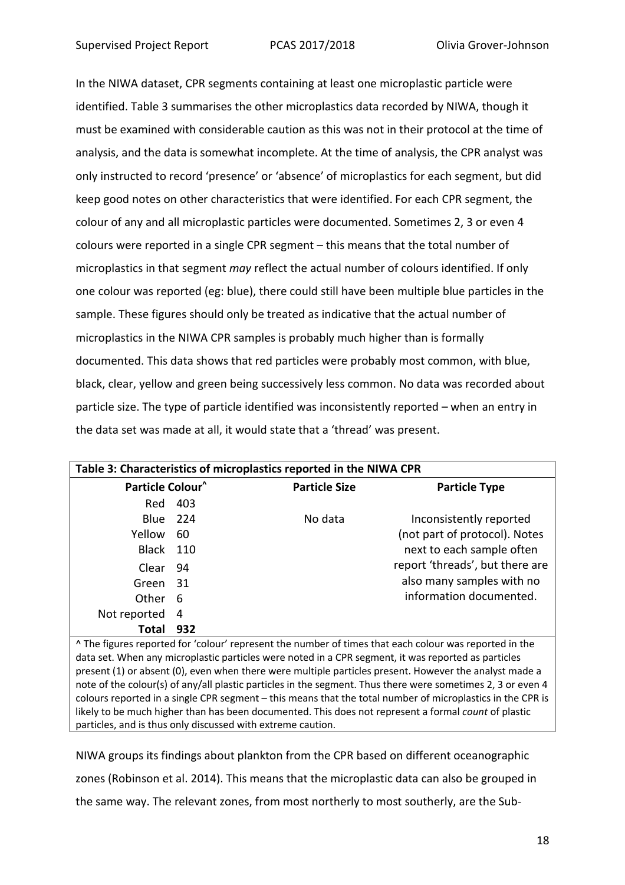In the NIWA dataset, CPR segments containing at least one microplastic particle were identified. Table 3 summarises the other microplastics data recorded by NIWA, though it must be examined with considerable caution as this was not in their protocol at the time of analysis, and the data is somewhat incomplete. At the time of analysis, the CPR analyst was only instructed to record 'presence' or 'absence' of microplastics for each segment, but did keep good notes on other characteristics that were identified. For each CPR segment, the colour of any and all microplastic particles were documented. Sometimes 2, 3 or even 4 colours were reported in a single CPR segment – this means that the total number of microplastics in that segment *may* reflect the actual number of colours identified. If only one colour was reported (eg: blue), there could still have been multiple blue particles in the sample. These figures should only be treated as indicative that the actual number of microplastics in the NIWA CPR samples is probably much higher than is formally documented. This data shows that red particles were probably most common, with blue, black, clear, yellow and green being successively less common. No data was recorded about particle size. The type of particle identified was inconsistently reported – when an entry in the data set was made at all, it would state that a 'thread' was present.

| Table 3: Characteristics of microplastics reported in the NIWA CPR                                          |      |                      |                                 |  |  |
|-------------------------------------------------------------------------------------------------------------|------|----------------------|---------------------------------|--|--|
| Particle Colour <sup>^</sup>                                                                                |      | <b>Particle Size</b> | <b>Particle Type</b>            |  |  |
| Red                                                                                                         | 403  |                      |                                 |  |  |
| Blue                                                                                                        | -224 | No data              | Inconsistently reported         |  |  |
| Yellow                                                                                                      | 60   |                      | (not part of protocol). Notes   |  |  |
| Black                                                                                                       | 110  |                      | next to each sample often       |  |  |
| Clear                                                                                                       | 94   |                      | report 'threads', but there are |  |  |
| Green                                                                                                       | 31   |                      | also many samples with no       |  |  |
| Other                                                                                                       | 6    |                      | information documented.         |  |  |
| Not reported                                                                                                | 4    |                      |                                 |  |  |
| Total                                                                                                       | 932  |                      |                                 |  |  |
| ^ The figures reported for 'colour' represent the number of times that each colour was reported in the      |      |                      |                                 |  |  |
| data set. When any microplastic particles were noted in a CPR segment, it was reported as particles         |      |                      |                                 |  |  |
| present (1) or absent (0), even when there were multiple particles present. However the analyst made a      |      |                      |                                 |  |  |
| note of the colour(s) of any/all plastic particles in the segment. Thus there were sometimes 2, 3 or even 4 |      |                      |                                 |  |  |
| colours reported in a single CPR segment - this means that the total number of microplastics in the CPR is  |      |                      |                                 |  |  |
| likely to be much higher than has been documented. This does not represent a formal count of plastic        |      |                      |                                 |  |  |

NIWA groups its findings about plankton from the CPR based on different oceanographic zones (Robinson et al. 2014). This means that the microplastic data can also be grouped in the same way. The relevant zones, from most northerly to most southerly, are the Sub-

particles, and is thus only discussed with extreme caution.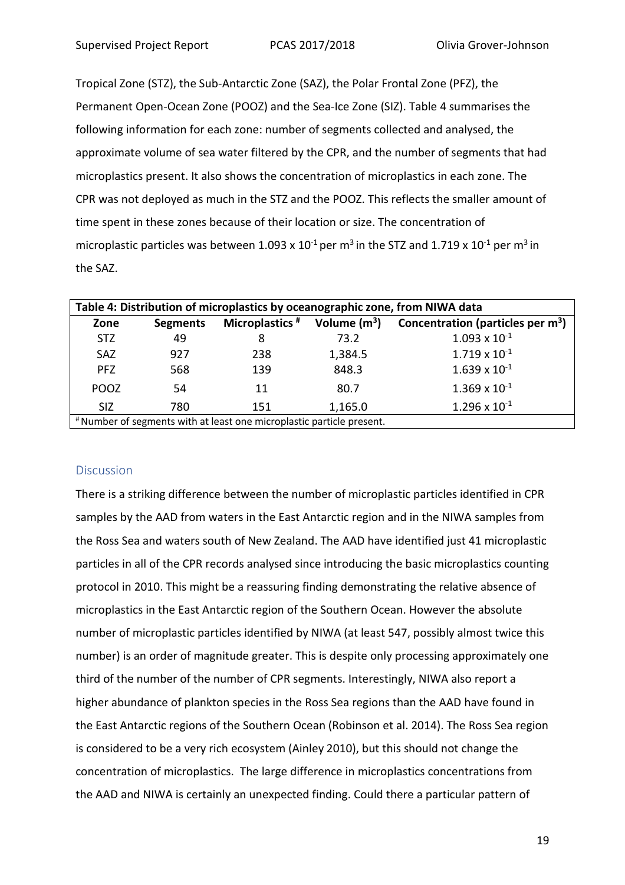Tropical Zone (STZ), the Sub-Antarctic Zone (SAZ), the Polar Frontal Zone (PFZ), the Permanent Open-Ocean Zone (POOZ) and the Sea-Ice Zone (SIZ). Table 4 summarises the following information for each zone: number of segments collected and analysed, the approximate volume of sea water filtered by the CPR, and the number of segments that had microplastics present. It also shows the concentration of microplastics in each zone. The CPR was not deployed as much in the STZ and the POOZ. This reflects the smaller amount of time spent in these zones because of their location or size. The concentration of microplastic particles was between 1.093 x  $10^{-1}$  per m<sup>3</sup> in the STZ and 1.719 x  $10^{-1}$  per m<sup>3</sup> in the SAZ.

| Table 4: Distribution of microplastics by oceanographic zone, from NIWA data |                 |                            |                |                                               |  |
|------------------------------------------------------------------------------|-----------------|----------------------------|----------------|-----------------------------------------------|--|
| Zone                                                                         | <b>Segments</b> | Microplastics <sup>#</sup> | Volume $(m^3)$ | Concentration (particles per m <sup>3</sup> ) |  |
| <b>STZ</b>                                                                   | 49              | 8                          | 73.2           | $1.093 \times 10^{-1}$                        |  |
| SAZ                                                                          | 927             | 238                        | 1,384.5        | $1.719 \times 10^{-1}$                        |  |
| <b>PFZ</b>                                                                   | 568             | 139                        | 848.3          | $1.639 \times 10^{-1}$                        |  |
| POOZ                                                                         | 54              | 11                         | 80.7           | $1.369 \times 10^{-1}$                        |  |
| <b>SIZ</b>                                                                   | 780             | 151                        | 1,165.0        | $1.296 \times 10^{-1}$                        |  |
| # Number of segments with at least one microplastic particle present.        |                 |                            |                |                                               |  |

#### **Discussion**

There is a striking difference between the number of microplastic particles identified in CPR samples by the AAD from waters in the East Antarctic region and in the NIWA samples from the Ross Sea and waters south of New Zealand. The AAD have identified just 41 microplastic particles in all of the CPR records analysed since introducing the basic microplastics counting protocol in 2010. This might be a reassuring finding demonstrating the relative absence of microplastics in the East Antarctic region of the Southern Ocean. However the absolute number of microplastic particles identified by NIWA (at least 547, possibly almost twice this number) is an order of magnitude greater. This is despite only processing approximately one third of the number of the number of CPR segments. Interestingly, NIWA also report a higher abundance of plankton species in the Ross Sea regions than the AAD have found in the East Antarctic regions of the Southern Ocean (Robinson et al. 2014). The Ross Sea region is considered to be a very rich ecosystem (Ainley 2010), but this should not change the concentration of microplastics. The large difference in microplastics concentrations from the AAD and NIWA is certainly an unexpected finding. Could there a particular pattern of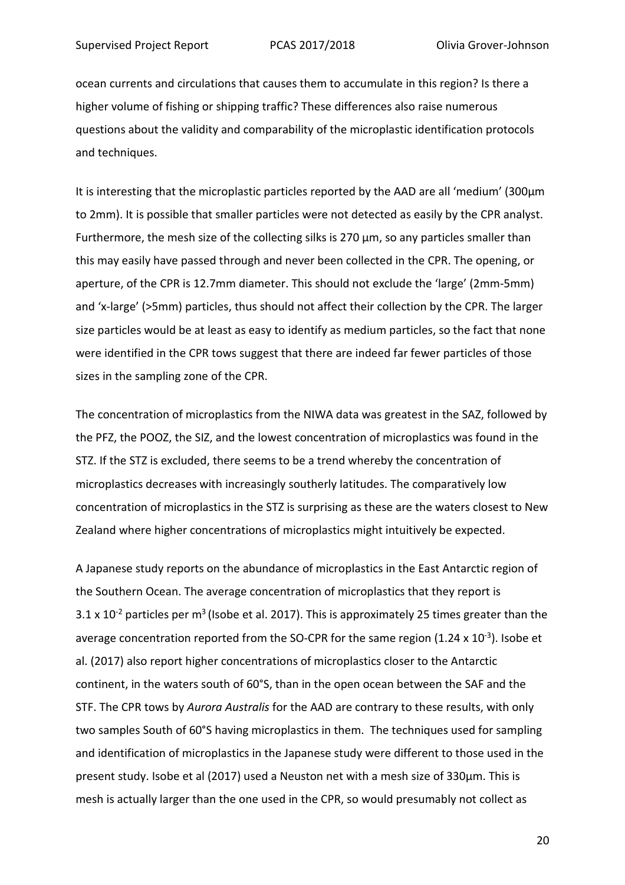ocean currents and circulations that causes them to accumulate in this region? Is there a higher volume of fishing or shipping traffic? These differences also raise numerous questions about the validity and comparability of the microplastic identification protocols and techniques.

It is interesting that the microplastic particles reported by the AAD are all 'medium' (300µm to 2mm). It is possible that smaller particles were not detected as easily by the CPR analyst. Furthermore, the mesh size of the collecting silks is  $270 \mu m$ , so any particles smaller than this may easily have passed through and never been collected in the CPR. The opening, or aperture, of the CPR is 12.7mm diameter. This should not exclude the 'large' (2mm-5mm) and 'x-large' (>5mm) particles, thus should not affect their collection by the CPR. The larger size particles would be at least as easy to identify as medium particles, so the fact that none were identified in the CPR tows suggest that there are indeed far fewer particles of those sizes in the sampling zone of the CPR.

The concentration of microplastics from the NIWA data was greatest in the SAZ, followed by the PFZ, the POOZ, the SIZ, and the lowest concentration of microplastics was found in the STZ. If the STZ is excluded, there seems to be a trend whereby the concentration of microplastics decreases with increasingly southerly latitudes. The comparatively low concentration of microplastics in the STZ is surprising as these are the waters closest to New Zealand where higher concentrations of microplastics might intuitively be expected.

A Japanese study reports on the abundance of microplastics in the East Antarctic region of the Southern Ocean. The average concentration of microplastics that they report is  $3.1 \times 10^{-2}$  particles per m<sup>3</sup> (Isobe et al. 2017). This is approximately 25 times greater than the average concentration reported from the SO-CPR for the same region  $(1.24 \times 10^{-3})$ . Isobe et al. (2017) also report higher concentrations of microplastics closer to the Antarctic continent, in the waters south of 60°S, than in the open ocean between the SAF and the STF. The CPR tows by *Aurora Australis* for the AAD are contrary to these results, with only two samples South of 60°S having microplastics in them. The techniques used for sampling and identification of microplastics in the Japanese study were different to those used in the present study. Isobe et al (2017) used a Neuston net with a mesh size of 330µm. This is mesh is actually larger than the one used in the CPR, so would presumably not collect as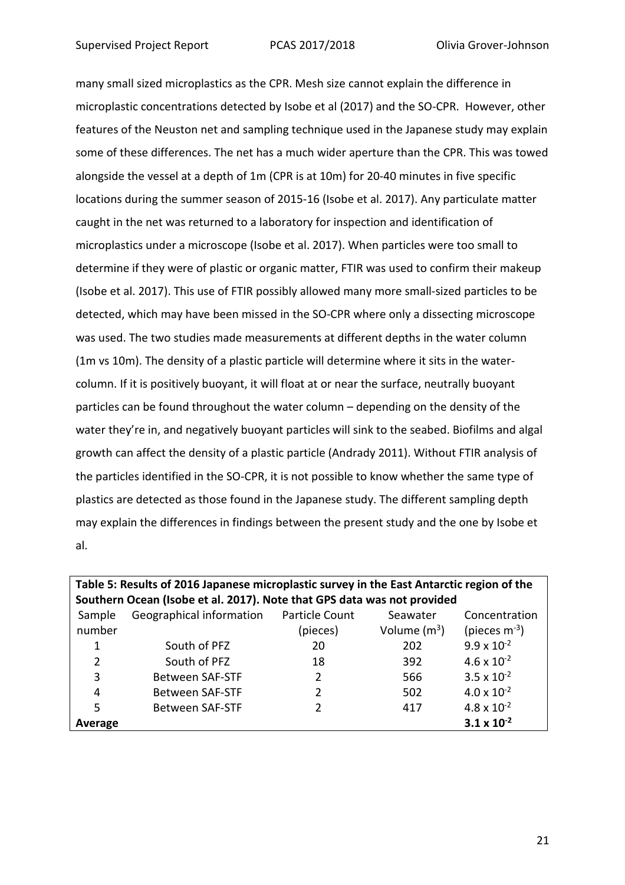many small sized microplastics as the CPR. Mesh size cannot explain the difference in microplastic concentrations detected by Isobe et al (2017) and the SO-CPR. However, other features of the Neuston net and sampling technique used in the Japanese study may explain some of these differences. The net has a much wider aperture than the CPR. This was towed alongside the vessel at a depth of 1m (CPR is at 10m) for 20-40 minutes in five specific locations during the summer season of 2015-16 (Isobe et al. 2017). Any particulate matter caught in the net was returned to a laboratory for inspection and identification of microplastics under a microscope (Isobe et al. 2017). When particles were too small to determine if they were of plastic or organic matter, FTIR was used to confirm their makeup (Isobe et al. 2017). This use of FTIR possibly allowed many more small-sized particles to be detected, which may have been missed in the SO-CPR where only a dissecting microscope was used. The two studies made measurements at different depths in the water column (1m vs 10m). The density of a plastic particle will determine where it sits in the watercolumn. If it is positively buoyant, it will float at or near the surface, neutrally buoyant particles can be found throughout the water column – depending on the density of the water they're in, and negatively buoyant particles will sink to the seabed. Biofilms and algal growth can affect the density of a plastic particle (Andrady 2011). Without FTIR analysis of the particles identified in the SO-CPR, it is not possible to know whether the same type of plastics are detected as those found in the Japanese study. The different sampling depth may explain the differences in findings between the present study and the one by Isobe et al.

| Table 5: Results of 2016 Japanese microplastic survey in the East Antarctic region of the |                          |                       |                |                      |  |  |
|-------------------------------------------------------------------------------------------|--------------------------|-----------------------|----------------|----------------------|--|--|
| Southern Ocean (Isobe et al. 2017). Note that GPS data was not provided                   |                          |                       |                |                      |  |  |
| Sample                                                                                    | Geographical information | <b>Particle Count</b> | Seawater       | Concentration        |  |  |
| number                                                                                    |                          | (pieces)              | Volume $(m^3)$ | (pieces $m^{-3}$ )   |  |  |
| 1                                                                                         | South of PFZ             | 20                    | 202            | $9.9 \times 10^{-2}$ |  |  |
| 2                                                                                         | South of PFZ             | 18                    | 392            | $4.6 \times 10^{-2}$ |  |  |
| 3                                                                                         | <b>Between SAF-STF</b>   | 2                     | 566            | $3.5 \times 10^{-2}$ |  |  |
| 4                                                                                         | <b>Between SAF-STF</b>   | 2                     | 502            | $4.0 \times 10^{-2}$ |  |  |
| 5                                                                                         | <b>Between SAF-STF</b>   |                       | 417            | $4.8 \times 10^{-2}$ |  |  |
| Average                                                                                   |                          |                       |                | $3.1 \times 10^{-2}$ |  |  |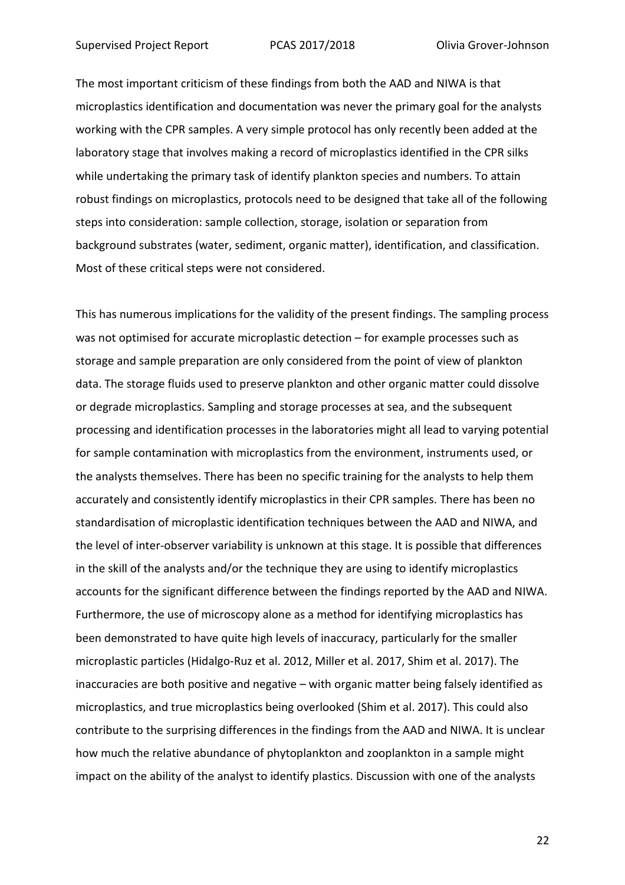The most important criticism of these findings from both the AAD and NIWA is that microplastics identification and documentation was never the primary goal for the analysts working with the CPR samples. A very simple protocol has only recently been added at the laboratory stage that involves making a record of microplastics identified in the CPR silks while undertaking the primary task of identify plankton species and numbers. To attain robust findings on microplastics, protocols need to be designed that take all of the following steps into consideration: sample collection, storage, isolation or separation from background substrates (water, sediment, organic matter), identification, and classification. Most of these critical steps were not considered.

This has numerous implications for the validity of the present findings. The sampling process was not optimised for accurate microplastic detection – for example processes such as storage and sample preparation are only considered from the point of view of plankton data. The storage fluids used to preserve plankton and other organic matter could dissolve or degrade microplastics. Sampling and storage processes at sea, and the subsequent processing and identification processes in the laboratories might all lead to varying potential for sample contamination with microplastics from the environment, instruments used, or the analysts themselves. There has been no specific training for the analysts to help them accurately and consistently identify microplastics in their CPR samples. There has been no standardisation of microplastic identification techniques between the AAD and NIWA, and the level of inter-observer variability is unknown at this stage. It is possible that differences in the skill of the analysts and/or the technique they are using to identify microplastics accounts for the significant difference between the findings reported by the AAD and NIWA. Furthermore, the use of microscopy alone as a method for identifying microplastics has been demonstrated to have quite high levels of inaccuracy, particularly for the smaller microplastic particles (Hidalgo-Ruz et al. 2012, Miller et al. 2017, Shim et al. 2017). The inaccuracies are both positive and negative – with organic matter being falsely identified as microplastics, and true microplastics being overlooked (Shim et al. 2017). This could also contribute to the surprising differences in the findings from the AAD and NIWA. It is unclear how much the relative abundance of phytoplankton and zooplankton in a sample might impact on the ability of the analyst to identify plastics. Discussion with one of the analysts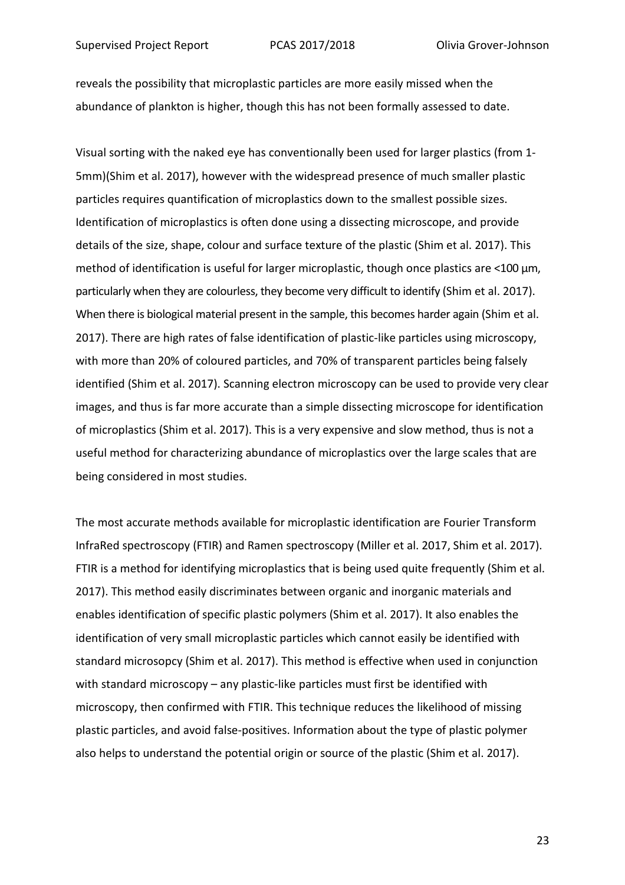reveals the possibility that microplastic particles are more easily missed when the abundance of plankton is higher, though this has not been formally assessed to date.

Visual sorting with the naked eye has conventionally been used for larger plastics (from 1- 5mm)(Shim et al. 2017), however with the widespread presence of much smaller plastic particles requires quantification of microplastics down to the smallest possible sizes. Identification of microplastics is often done using a dissecting microscope, and provide details of the size, shape, colour and surface texture of the plastic (Shim et al. 2017). This method of identification is useful for larger microplastic, though once plastics are <100 μm, particularly when they are colourless, they become very difficult to identify (Shim et al. 2017). When there is biological material present in the sample, this becomes harder again (Shim et al. 2017). There are high rates of false identification of plastic-like particles using microscopy, with more than 20% of coloured particles, and 70% of transparent particles being falsely identified (Shim et al. 2017). Scanning electron microscopy can be used to provide very clear images, and thus is far more accurate than a simple dissecting microscope for identification of microplastics (Shim et al. 2017). This is a very expensive and slow method, thus is not a useful method for characterizing abundance of microplastics over the large scales that are being considered in most studies.

The most accurate methods available for microplastic identification are Fourier Transform InfraRed spectroscopy (FTIR) and Ramen spectroscopy (Miller et al. 2017, Shim et al. 2017). FTIR is a method for identifying microplastics that is being used quite frequently (Shim et al. 2017). This method easily discriminates between organic and inorganic materials and enables identification of specific plastic polymers (Shim et al. 2017). It also enables the identification of very small microplastic particles which cannot easily be identified with standard microsopcy (Shim et al. 2017). This method is effective when used in conjunction with standard microscopy – any plastic-like particles must first be identified with microscopy, then confirmed with FTIR. This technique reduces the likelihood of missing plastic particles, and avoid false-positives. Information about the type of plastic polymer also helps to understand the potential origin or source of the plastic (Shim et al. 2017).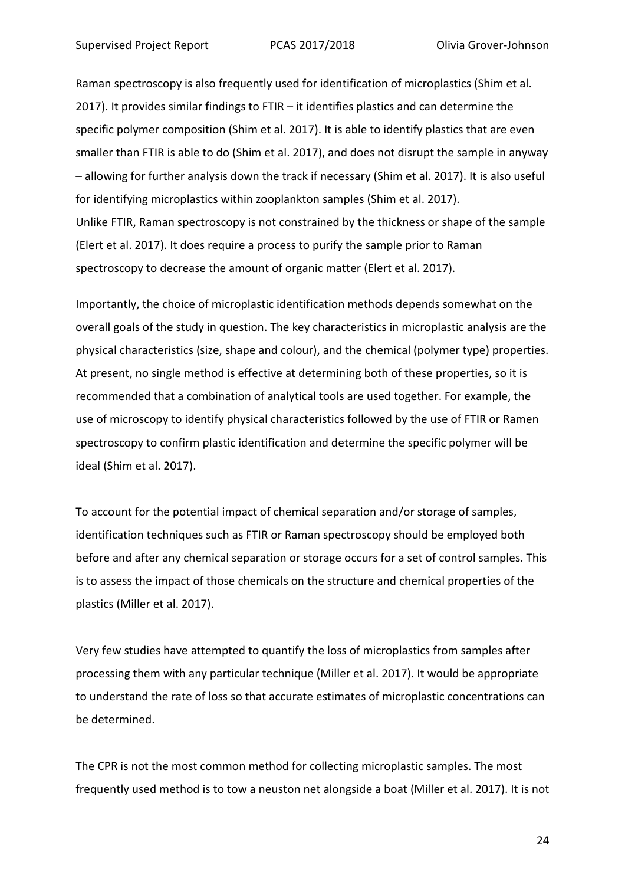Raman spectroscopy is also frequently used for identification of microplastics (Shim et al. 2017). It provides similar findings to FTIR – it identifies plastics and can determine the specific polymer composition (Shim et al. 2017). It is able to identify plastics that are even smaller than FTIR is able to do (Shim et al. 2017), and does not disrupt the sample in anyway – allowing for further analysis down the track if necessary (Shim et al. 2017). It is also useful for identifying microplastics within zooplankton samples (Shim et al. 2017). Unlike FTIR, Raman spectroscopy is not constrained by the thickness or shape of the sample (Elert et al. 2017). It does require a process to purify the sample prior to Raman spectroscopy to decrease the amount of organic matter (Elert et al. 2017).

Importantly, the choice of microplastic identification methods depends somewhat on the overall goals of the study in question. The key characteristics in microplastic analysis are the physical characteristics (size, shape and colour), and the chemical (polymer type) properties. At present, no single method is effective at determining both of these properties, so it is recommended that a combination of analytical tools are used together. For example, the use of microscopy to identify physical characteristics followed by the use of FTIR or Ramen spectroscopy to confirm plastic identification and determine the specific polymer will be ideal (Shim et al. 2017).

To account for the potential impact of chemical separation and/or storage of samples, identification techniques such as FTIR or Raman spectroscopy should be employed both before and after any chemical separation or storage occurs for a set of control samples. This is to assess the impact of those chemicals on the structure and chemical properties of the plastics (Miller et al. 2017).

Very few studies have attempted to quantify the loss of microplastics from samples after processing them with any particular technique (Miller et al. 2017). It would be appropriate to understand the rate of loss so that accurate estimates of microplastic concentrations can be determined.

The CPR is not the most common method for collecting microplastic samples. The most frequently used method is to tow a neuston net alongside a boat (Miller et al. 2017). It is not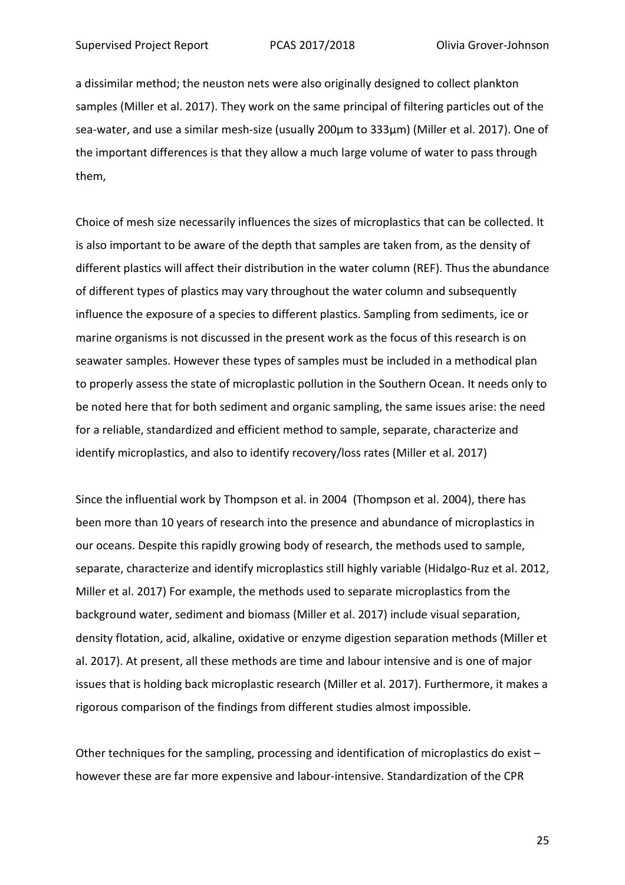a dissimilar method; the neuston nets were also originally designed to collect plankton samples (Miller et al. 2017). They work on the same principal of filtering particles out of the sea-water, and use a similar mesh-size (usually 200µm to 333µm) (Miller et al. 2017). One of the important differences is that they allow a much large volume of water to pass through them,

Choice of mesh size necessarily influences the sizes of microplastics that can be collected. It is also important to be aware of the depth that samples are taken from, as the density of different plastics will affect their distribution in the water column (REF). Thus the abundance of different types of plastics may vary throughout the water column and subsequently influence the exposure of a species to different plastics. Sampling from sediments, ice or marine organisms is not discussed in the present work as the focus of this research is on seawater samples. However these types of samples must be included in a methodical plan to properly assess the state of microplastic pollution in the Southern Ocean. It needs only to be noted here that for both sediment and organic sampling, the same issues arise: the need for a reliable, standardized and efficient method to sample, separate, characterize and identify microplastics, and also to identify recovery/loss rates (Miller et al. 2017)

Since the influential work by Thompson et al. in 2004 (Thompson et al. 2004), there has been more than 10 years of research into the presence and abundance of microplastics in our oceans. Despite this rapidly growing body of research, the methods used to sample, separate, characterize and identify microplastics still highly variable (Hidalgo-Ruz et al. 2012, Miller et al. 2017) For example, the methods used to separate microplastics from the background water, sediment and biomass (Miller et al. 2017) include visual separation, density flotation, acid, alkaline, oxidative or enzyme digestion separation methods (Miller et al. 2017). At present, all these methods are time and labour intensive and is one of major issues that is holding back microplastic research (Miller et al. 2017). Furthermore, it makes a rigorous comparison of the findings from different studies almost impossible.

Other techniques for the sampling, processing and identification of microplastics do exist – however these are far more expensive and labour-intensive. Standardization of the CPR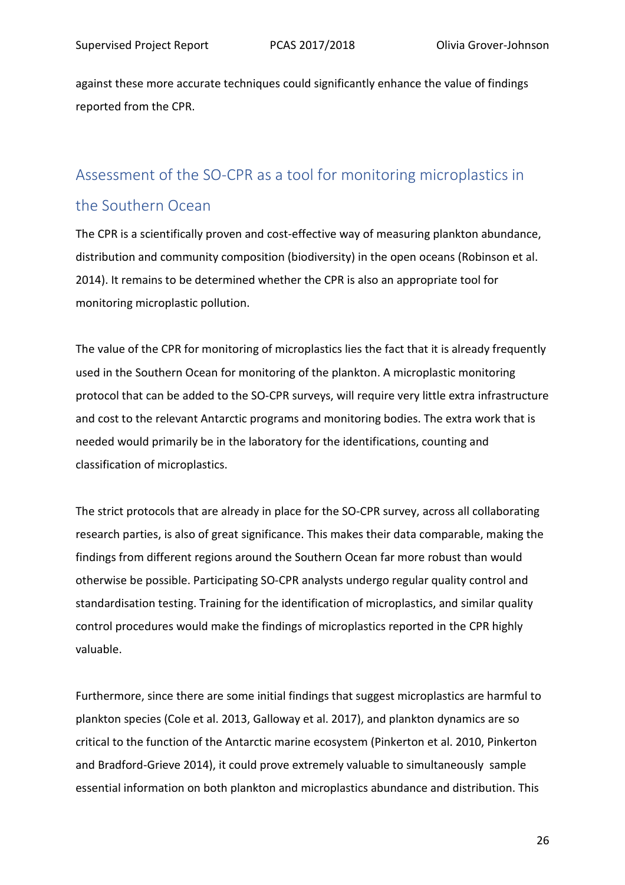against these more accurate techniques could significantly enhance the value of findings reported from the CPR.

# Assessment of the SO-CPR as a tool for monitoring microplastics in

## the Southern Ocean

The CPR is a scientifically proven and cost-effective way of measuring plankton abundance, distribution and community composition (biodiversity) in the open oceans (Robinson et al. 2014). It remains to be determined whether the CPR is also an appropriate tool for monitoring microplastic pollution.

The value of the CPR for monitoring of microplastics lies the fact that it is already frequently used in the Southern Ocean for monitoring of the plankton. A microplastic monitoring protocol that can be added to the SO-CPR surveys, will require very little extra infrastructure and cost to the relevant Antarctic programs and monitoring bodies. The extra work that is needed would primarily be in the laboratory for the identifications, counting and classification of microplastics.

The strict protocols that are already in place for the SO-CPR survey, across all collaborating research parties, is also of great significance. This makes their data comparable, making the findings from different regions around the Southern Ocean far more robust than would otherwise be possible. Participating SO-CPR analysts undergo regular quality control and standardisation testing. Training for the identification of microplastics, and similar quality control procedures would make the findings of microplastics reported in the CPR highly valuable.

Furthermore, since there are some initial findings that suggest microplastics are harmful to plankton species (Cole et al. 2013, Galloway et al. 2017), and plankton dynamics are so critical to the function of the Antarctic marine ecosystem (Pinkerton et al. 2010, Pinkerton and Bradford-Grieve 2014), it could prove extremely valuable to simultaneously sample essential information on both plankton and microplastics abundance and distribution. This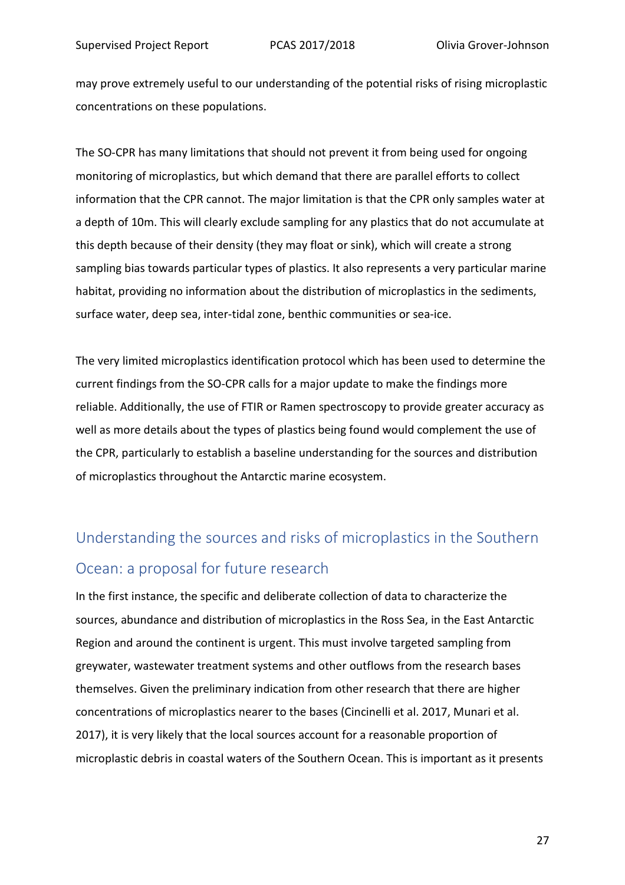may prove extremely useful to our understanding of the potential risks of rising microplastic concentrations on these populations.

The SO-CPR has many limitations that should not prevent it from being used for ongoing monitoring of microplastics, but which demand that there are parallel efforts to collect information that the CPR cannot. The major limitation is that the CPR only samples water at a depth of 10m. This will clearly exclude sampling for any plastics that do not accumulate at this depth because of their density (they may float or sink), which will create a strong sampling bias towards particular types of plastics. It also represents a very particular marine habitat, providing no information about the distribution of microplastics in the sediments, surface water, deep sea, inter-tidal zone, benthic communities or sea-ice.

The very limited microplastics identification protocol which has been used to determine the current findings from the SO-CPR calls for a major update to make the findings more reliable. Additionally, the use of FTIR or Ramen spectroscopy to provide greater accuracy as well as more details about the types of plastics being found would complement the use of the CPR, particularly to establish a baseline understanding for the sources and distribution of microplastics throughout the Antarctic marine ecosystem.

# Understanding the sources and risks of microplastics in the Southern Ocean: a proposal for future research

In the first instance, the specific and deliberate collection of data to characterize the sources, abundance and distribution of microplastics in the Ross Sea, in the East Antarctic Region and around the continent is urgent. This must involve targeted sampling from greywater, wastewater treatment systems and other outflows from the research bases themselves. Given the preliminary indication from other research that there are higher concentrations of microplastics nearer to the bases (Cincinelli et al. 2017, Munari et al. 2017), it is very likely that the local sources account for a reasonable proportion of microplastic debris in coastal waters of the Southern Ocean. This is important as it presents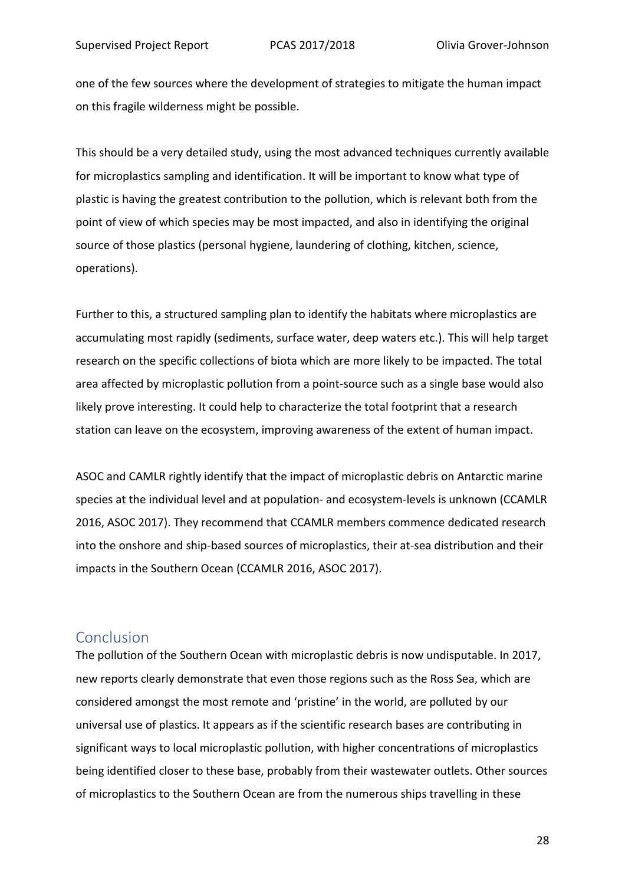one of the few sources where the development of strategies to mitigate the human impact on this fragile wilderness might be possible.

This should be a very detailed study, using the most advanced techniques currently available for microplastics sampling and identification. It will be important to know what type of plastic is having the greatest contribution to the pollution, which is relevant both from the point of view of which species may be most impacted, and also in identifying the original source of those plastics (personal hygiene, laundering of clothing, kitchen, science, operations).

Further to this, a structured sampling plan to identify the habitats where microplastics are accumulating most rapidly (sediments, surface water, deep waters etc.). This will help target research on the specific collections of biota which are more likely to be impacted. The total area affected by microplastic pollution from a point-source such as a single base would also likely prove interesting. It could help to characterize the total footprint that a research station can leave on the ecosystem, improving awareness of the extent of human impact.

ASOC and CAMLR rightly identify that the impact of microplastic debris on Antarctic marine species at the individual level and at population- and ecosystem-levels is unknown (CCAMLR 2016, ASOC 2017). They recommend that CCAMLR members commence dedicated research into the onshore and ship-based sources of microplastics, their at-sea distribution and their impacts in the Southern Ocean (CCAMLR 2016, ASOC 2017).

#### Conclusion

The pollution of the Southern Ocean with microplastic debris is now undisputable. In 2017, new reports clearly demonstrate that even those regions such as the Ross Sea, which are considered amongst the most remote and 'pristine' in the world, are polluted by our universal use of plastics. It appears as if the scientific research bases are contributing in significant ways to local microplastic pollution, with higher concentrations of microplastics being identified closer to these base, probably from their wastewater outlets. Other sources of microplastics to the Southern Ocean are from the numerous ships travelling in these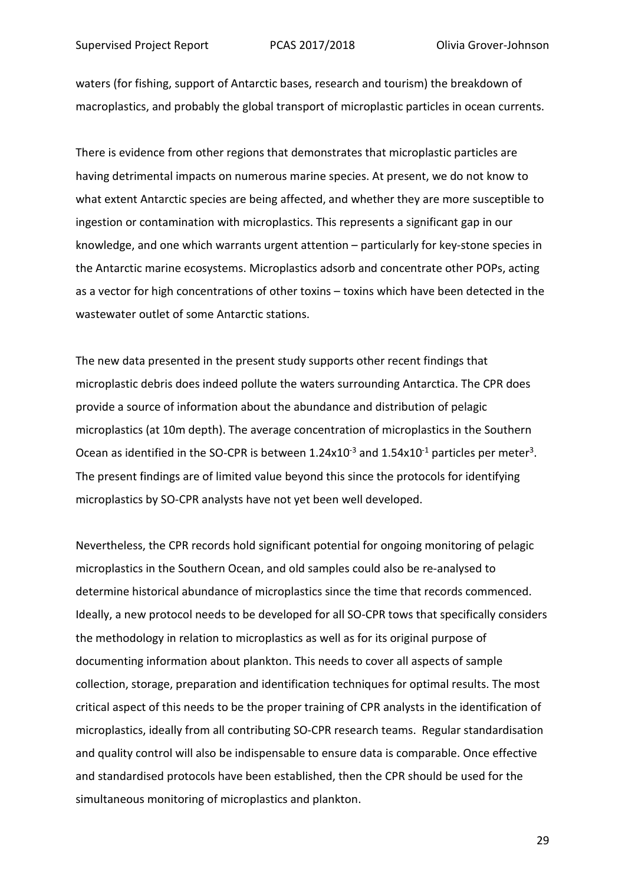waters (for fishing, support of Antarctic bases, research and tourism) the breakdown of macroplastics, and probably the global transport of microplastic particles in ocean currents.

There is evidence from other regions that demonstrates that microplastic particles are having detrimental impacts on numerous marine species. At present, we do not know to what extent Antarctic species are being affected, and whether they are more susceptible to ingestion or contamination with microplastics. This represents a significant gap in our knowledge, and one which warrants urgent attention – particularly for key-stone species in the Antarctic marine ecosystems. Microplastics adsorb and concentrate other POPs, acting as a vector for high concentrations of other toxins – toxins which have been detected in the wastewater outlet of some Antarctic stations.

The new data presented in the present study supports other recent findings that microplastic debris does indeed pollute the waters surrounding Antarctica. The CPR does provide a source of information about the abundance and distribution of pelagic microplastics (at 10m depth). The average concentration of microplastics in the Southern Ocean as identified in the SO-CPR is between  $1.24 \times 10^{-3}$  and  $1.54 \times 10^{-1}$  particles per meter<sup>3</sup>. The present findings are of limited value beyond this since the protocols for identifying microplastics by SO-CPR analysts have not yet been well developed.

Nevertheless, the CPR records hold significant potential for ongoing monitoring of pelagic microplastics in the Southern Ocean, and old samples could also be re-analysed to determine historical abundance of microplastics since the time that records commenced. Ideally, a new protocol needs to be developed for all SO-CPR tows that specifically considers the methodology in relation to microplastics as well as for its original purpose of documenting information about plankton. This needs to cover all aspects of sample collection, storage, preparation and identification techniques for optimal results. The most critical aspect of this needs to be the proper training of CPR analysts in the identification of microplastics, ideally from all contributing SO-CPR research teams. Regular standardisation and quality control will also be indispensable to ensure data is comparable. Once effective and standardised protocols have been established, then the CPR should be used for the simultaneous monitoring of microplastics and plankton.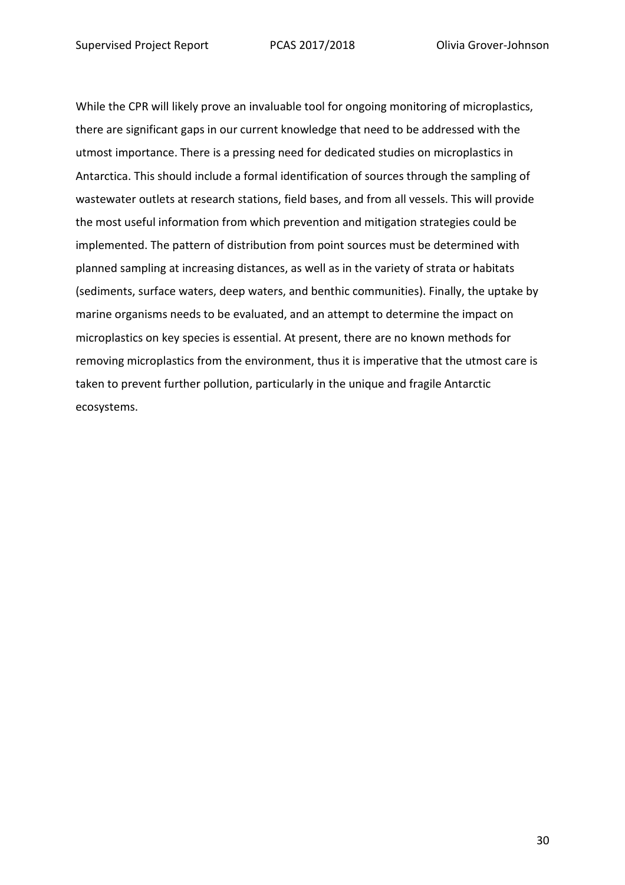While the CPR will likely prove an invaluable tool for ongoing monitoring of microplastics, there are significant gaps in our current knowledge that need to be addressed with the utmost importance. There is a pressing need for dedicated studies on microplastics in Antarctica. This should include a formal identification of sources through the sampling of wastewater outlets at research stations, field bases, and from all vessels. This will provide the most useful information from which prevention and mitigation strategies could be implemented. The pattern of distribution from point sources must be determined with planned sampling at increasing distances, as well as in the variety of strata or habitats (sediments, surface waters, deep waters, and benthic communities). Finally, the uptake by marine organisms needs to be evaluated, and an attempt to determine the impact on microplastics on key species is essential. At present, there are no known methods for removing microplastics from the environment, thus it is imperative that the utmost care is taken to prevent further pollution, particularly in the unique and fragile Antarctic ecosystems.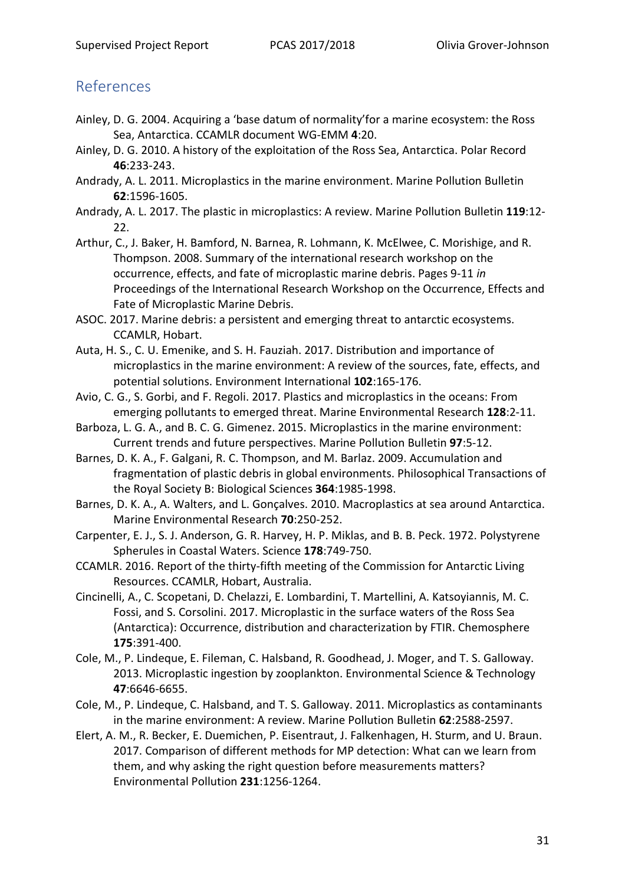## References

- Ainley, D. G. 2004. Acquiring a 'base datum of normality'for a marine ecosystem: the Ross Sea, Antarctica. CCAMLR document WG-EMM **4**:20.
- Ainley, D. G. 2010. A history of the exploitation of the Ross Sea, Antarctica. Polar Record **46**:233-243.
- Andrady, A. L. 2011. Microplastics in the marine environment. Marine Pollution Bulletin **62**:1596-1605.
- Andrady, A. L. 2017. The plastic in microplastics: A review. Marine Pollution Bulletin **119**:12- 22.
- Arthur, C., J. Baker, H. Bamford, N. Barnea, R. Lohmann, K. McElwee, C. Morishige, and R. Thompson. 2008. Summary of the international research workshop on the occurrence, effects, and fate of microplastic marine debris. Pages 9-11 *in* Proceedings of the International Research Workshop on the Occurrence, Effects and Fate of Microplastic Marine Debris.
- ASOC. 2017. Marine debris: a persistent and emerging threat to antarctic ecosystems. CCAMLR, Hobart.
- Auta, H. S., C. U. Emenike, and S. H. Fauziah. 2017. Distribution and importance of microplastics in the marine environment: A review of the sources, fate, effects, and potential solutions. Environment International **102**:165-176.
- Avio, C. G., S. Gorbi, and F. Regoli. 2017. Plastics and microplastics in the oceans: From emerging pollutants to emerged threat. Marine Environmental Research **128**:2-11.
- Barboza, L. G. A., and B. C. G. Gimenez. 2015. Microplastics in the marine environment: Current trends and future perspectives. Marine Pollution Bulletin **97**:5-12.
- Barnes, D. K. A., F. Galgani, R. C. Thompson, and M. Barlaz. 2009. Accumulation and fragmentation of plastic debris in global environments. Philosophical Transactions of the Royal Society B: Biological Sciences **364**:1985-1998.
- Barnes, D. K. A., A. Walters, and L. Gonçalves. 2010. Macroplastics at sea around Antarctica. Marine Environmental Research **70**:250-252.
- Carpenter, E. J., S. J. Anderson, G. R. Harvey, H. P. Miklas, and B. B. Peck. 1972. Polystyrene Spherules in Coastal Waters. Science **178**:749-750.
- CCAMLR. 2016. Report of the thirty-fifth meeting of the Commission for Antarctic Living Resources. CCAMLR, Hobart, Australia.
- Cincinelli, A., C. Scopetani, D. Chelazzi, E. Lombardini, T. Martellini, A. Katsoyiannis, M. C. Fossi, and S. Corsolini. 2017. Microplastic in the surface waters of the Ross Sea (Antarctica): Occurrence, distribution and characterization by FTIR. Chemosphere **175**:391-400.
- Cole, M., P. Lindeque, E. Fileman, C. Halsband, R. Goodhead, J. Moger, and T. S. Galloway. 2013. Microplastic ingestion by zooplankton. Environmental Science & Technology **47**:6646-6655.
- Cole, M., P. Lindeque, C. Halsband, and T. S. Galloway. 2011. Microplastics as contaminants in the marine environment: A review. Marine Pollution Bulletin **62**:2588-2597.
- Elert, A. M., R. Becker, E. Duemichen, P. Eisentraut, J. Falkenhagen, H. Sturm, and U. Braun. 2017. Comparison of different methods for MP detection: What can we learn from them, and why asking the right question before measurements matters? Environmental Pollution **231**:1256-1264.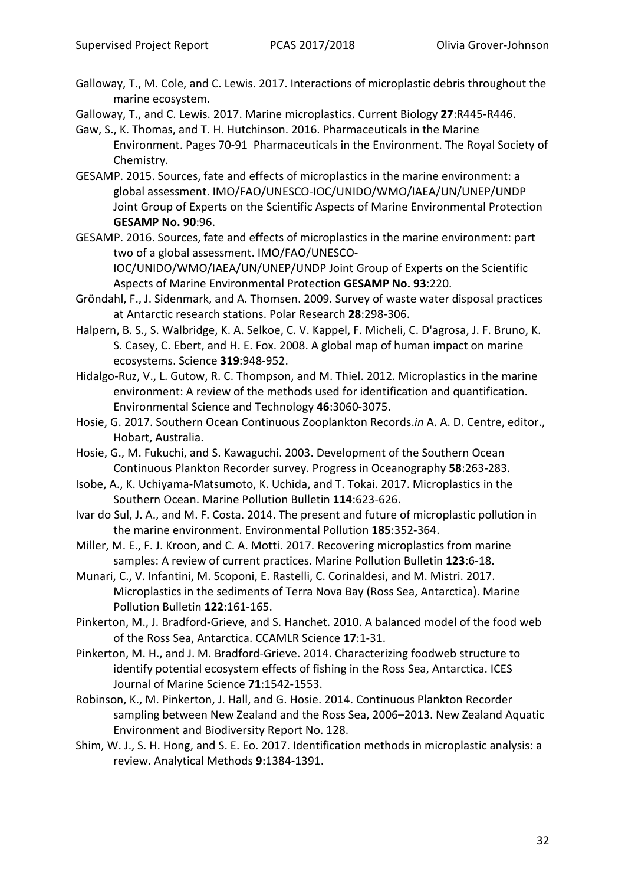Galloway, T., M. Cole, and C. Lewis. 2017. Interactions of microplastic debris throughout the marine ecosystem.

Galloway, T., and C. Lewis. 2017. Marine microplastics. Current Biology **27**:R445-R446.

Gaw, S., K. Thomas, and T. H. Hutchinson. 2016. Pharmaceuticals in the Marine Environment. Pages 70-91 Pharmaceuticals in the Environment. The Royal Society of Chemistry.

- GESAMP. 2015. Sources, fate and effects of microplastics in the marine environment: a global assessment. IMO/FAO/UNESCO-IOC/UNIDO/WMO/IAEA/UN/UNEP/UNDP Joint Group of Experts on the Scientific Aspects of Marine Environmental Protection **GESAMP No. 90**:96.
- GESAMP. 2016. Sources, fate and effects of microplastics in the marine environment: part two of a global assessment. IMO/FAO/UNESCO-

IOC/UNIDO/WMO/IAEA/UN/UNEP/UNDP Joint Group of Experts on the Scientific Aspects of Marine Environmental Protection **GESAMP No. 93**:220.

- Gröndahl, F., J. Sidenmark, and A. Thomsen. 2009. Survey of waste water disposal practices at Antarctic research stations. Polar Research **28**:298-306.
- Halpern, B. S., S. Walbridge, K. A. Selkoe, C. V. Kappel, F. Micheli, C. D'agrosa, J. F. Bruno, K. S. Casey, C. Ebert, and H. E. Fox. 2008. A global map of human impact on marine ecosystems. Science **319**:948-952.
- Hidalgo-Ruz, V., L. Gutow, R. C. Thompson, and M. Thiel. 2012. Microplastics in the marine environment: A review of the methods used for identification and quantification. Environmental Science and Technology **46**:3060-3075.
- Hosie, G. 2017. Southern Ocean Continuous Zooplankton Records.*in* A. A. D. Centre, editor., Hobart, Australia.
- Hosie, G., M. Fukuchi, and S. Kawaguchi. 2003. Development of the Southern Ocean Continuous Plankton Recorder survey. Progress in Oceanography **58**:263-283.
- Isobe, A., K. Uchiyama-Matsumoto, K. Uchida, and T. Tokai. 2017. Microplastics in the Southern Ocean. Marine Pollution Bulletin **114**:623-626.
- Ivar do Sul, J. A., and M. F. Costa. 2014. The present and future of microplastic pollution in the marine environment. Environmental Pollution **185**:352-364.
- Miller, M. E., F. J. Kroon, and C. A. Motti. 2017. Recovering microplastics from marine samples: A review of current practices. Marine Pollution Bulletin **123**:6-18.
- Munari, C., V. Infantini, M. Scoponi, E. Rastelli, C. Corinaldesi, and M. Mistri. 2017. Microplastics in the sediments of Terra Nova Bay (Ross Sea, Antarctica). Marine Pollution Bulletin **122**:161-165.
- Pinkerton, M., J. Bradford-Grieve, and S. Hanchet. 2010. A balanced model of the food web of the Ross Sea, Antarctica. CCAMLR Science **17**:1-31.
- Pinkerton, M. H., and J. M. Bradford-Grieve. 2014. Characterizing foodweb structure to identify potential ecosystem effects of fishing in the Ross Sea, Antarctica. ICES Journal of Marine Science **71**:1542-1553.
- Robinson, K., M. Pinkerton, J. Hall, and G. Hosie. 2014. Continuous Plankton Recorder sampling between New Zealand and the Ross Sea, 2006–2013. New Zealand Aquatic Environment and Biodiversity Report No. 128.
- Shim, W. J., S. H. Hong, and S. E. Eo. 2017. Identification methods in microplastic analysis: a review. Analytical Methods **9**:1384-1391.